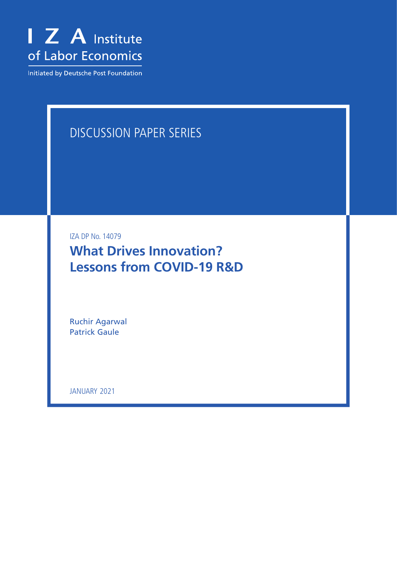

Initiated by Deutsche Post Foundation

# DISCUSSION PAPER SERIES

IZA DP No. 14079

**What Drives Innovation? Lessons from COVID-19 R&D**

Ruchir Agarwal Patrick Gaule

JANUARY 2021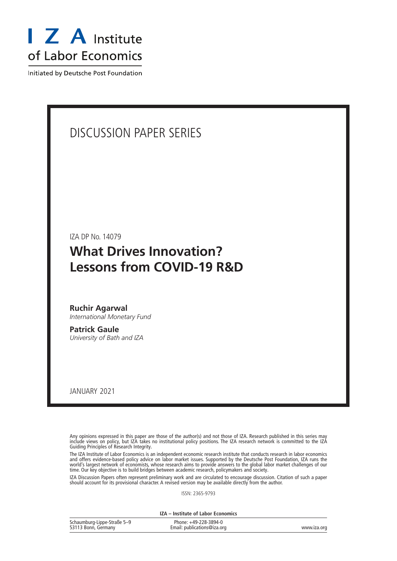

Initiated by Deutsche Post Foundation

## DISCUSSION PAPER SERIES

IZA DP No. 14079

## **What Drives Innovation? Lessons from COVID-19 R&D**

**Ruchir Agarwal** *International Monetary Fund*

**Patrick Gaule** *University of Bath and IZA*

JANUARY 2021

Any opinions expressed in this paper are those of the author(s) and not those of IZA. Research published in this series may include views on policy, but IZA takes no institutional policy positions. The IZA research network is committed to the IZA Guiding Principles of Research Integrity.

The IZA Institute of Labor Economics is an independent economic research institute that conducts research in labor economics and offers evidence-based policy advice on labor market issues. Supported by the Deutsche Post Foundation, IZA runs the world's largest network of economists, whose research aims to provide answers to the global labor market challenges of our time. Our key objective is to build bridges between academic research, policymakers and society.

IZA Discussion Papers often represent preliminary work and are circulated to encourage discussion. Citation of such a paper should account for its provisional character. A revised version may be available directly from the author.

ISSN: 2365-9793

**IZA – Institute of Labor Economics**

| Schaumburg-Lippe-Straße 5-9 | Phone: +49-228-3894-0       |             |
|-----------------------------|-----------------------------|-------------|
| 53113 Bonn, Germany         | Email: publications@iza.org | www.iza.org |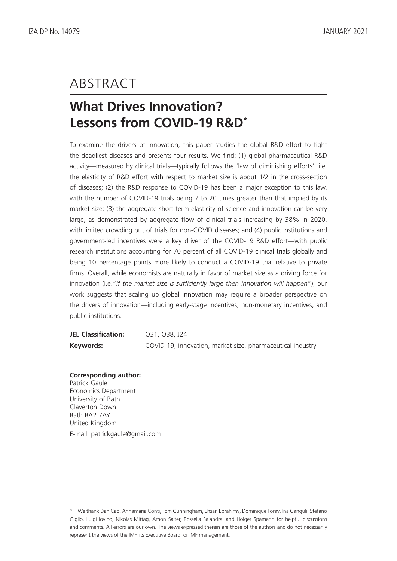## ABSTRACT

# **What Drives Innovation? Lessons from COVID-19 R&D\***

To examine the drivers of innovation, this paper studies the global R&D effort to fight the deadliest diseases and presents four results. We find: (1) global pharmaceutical R&D activity—measured by clinical trials—typically follows the 'law of diminishing efforts': i.e. the elasticity of R&D effort with respect to market size is about 1/2 in the cross-section of diseases; (2) the R&D response to COVID-19 has been a major exception to this law, with the number of COVID-19 trials being 7 to 20 times greater than that implied by its market size; (3) the aggregate short-term elasticity of science and innovation can be very large, as demonstrated by aggregate flow of clinical trials increasing by 38% in 2020, with limited crowding out of trials for non-COVID diseases; and (4) public institutions and government-led incentives were a key driver of the COVID-19 R&D effort—with public research institutions accounting for 70 percent of all COVID-19 clinical trials globally and being 10 percentage points more likely to conduct a COVID-19 trial relative to private firms. Overall, while economists are naturally in favor of market size as a driving force for innovation (i.e."*if the market size is sufficiently large then innovation will happen*"), our work suggests that scaling up global innovation may require a broader perspective on the drivers of innovation—including early-stage incentives, non-monetary incentives, and public institutions.

| <b>JEL Classification:</b> | 031, 038, J24                                              |
|----------------------------|------------------------------------------------------------|
| Keywords:                  | COVID-19, innovation, market size, pharmaceutical industry |

### **Corresponding author:**

Patrick Gaule Economics Department University of Bath Claverton Down Bath BA2 7AY United Kingdom E-mail: patrickgaule@gmail.com

<sup>\*</sup> We thank Dan Cao, Annamaria Conti, Tom Cunningham, Ehsan Ebrahimy, Dominique Foray, Ina Ganguli, Stefano Giglio, Luigi Iovino, Nikolas Mittag, Amon Salter, Rossella Salandra, and Holger Spamann for helpful discussions and comments. All errors are our own. The views expressed therein are those of the authors and do not necessarily represent the views of the IMF, its Executive Board, or IMF management.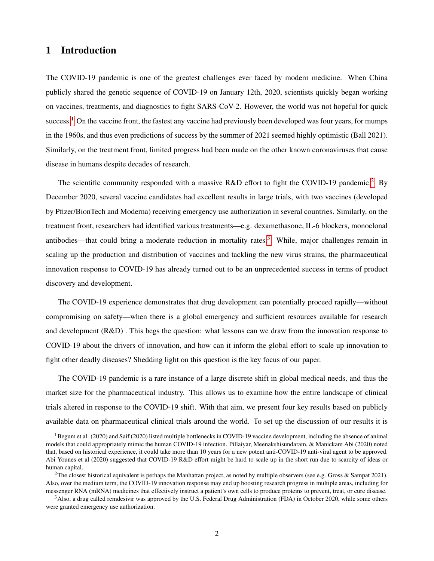## 1 Introduction

The COVID-19 pandemic is one of the greatest challenges ever faced by modern medicine. When China publicly shared the genetic sequence of COVID-19 on January 12th, 2020, scientists quickly began working on vaccines, treatments, and diagnostics to fight SARS-CoV-2. However, the world was not hopeful for quick success.<sup>[1](#page-3-0)</sup> On the vaccine front, the fastest any vaccine had previously been developed was four years, for mumps in the 1960s, and thus even predictions of success by the summer of 2021 seemed highly optimistic (Ball 2021). Similarly, on the treatment front, limited progress had been made on the other known coronaviruses that cause disease in humans despite decades of research.

The scientific community responded with a massive R&D effort to fight the COVID-19 pandemic.<sup>[2](#page-3-1)</sup> By December 2020, several vaccine candidates had excellent results in large trials, with two vaccines (developed by Pfizer/BionTech and Moderna) receiving emergency use authorization in several countries. Similarly, on the treatment front, researchers had identified various treatments—e.g. dexamethasone, IL-6 blockers, monoclonal antibodies—that could bring a moderate reduction in mortality rates.<sup>[3](#page-3-2)</sup> While, major challenges remain in scaling up the production and distribution of vaccines and tackling the new virus strains, the pharmaceutical innovation response to COVID-19 has already turned out to be an unprecedented success in terms of product discovery and development.

The COVID-19 experience demonstrates that drug development can potentially proceed rapidly—without compromising on safety—when there is a global emergency and sufficient resources available for research and development (R&D) . This begs the question: what lessons can we draw from the innovation response to COVID-19 about the drivers of innovation, and how can it inform the global effort to scale up innovation to fight other deadly diseases? Shedding light on this question is the key focus of our paper.

The COVID-19 pandemic is a rare instance of a large discrete shift in global medical needs, and thus the market size for the pharmaceutical industry. This allows us to examine how the entire landscape of clinical trials altered in response to the COVID-19 shift. With that aim, we present four key results based on publicly available data on pharmaceutical clinical trials around the world. To set up the discussion of our results it is

<span id="page-3-0"></span> ${}^{1}$ Begum et al. (2020) and Saif (2020) listed multiple bottlenecks in COVID-19 vaccine development, including the absence of animal models that could appropriately mimic the human COVID-19 infection. Pillaiyar, Meenakshisundaram, & Manickam Abi (2020) noted that, based on historical experience, it could take more than 10 years for a new potent anti-COVID-19 anti-viral agent to be approved. Abi Younes et al (2020) suggested that COVID-19 R&D effort might be hard to scale up in the short run due to scarcity of ideas or human capital.

<span id="page-3-1"></span><sup>&</sup>lt;sup>2</sup>The closest historical equivalent is perhaps the Manhattan project, as noted by multiple observers (see e.g. Gross & Sampat 2021). Also, over the medium term, the COVID-19 innovation response may end up boosting research progress in multiple areas, including for messenger RNA (mRNA) medicines that effectively instruct a patient's own cells to produce proteins to prevent, treat, or cure disease.

<span id="page-3-2"></span><sup>&</sup>lt;sup>3</sup>Also, a drug called remdesivir was approved by the U.S. Federal Drug Administration (FDA) in October 2020, while some others were granted emergency use authorization.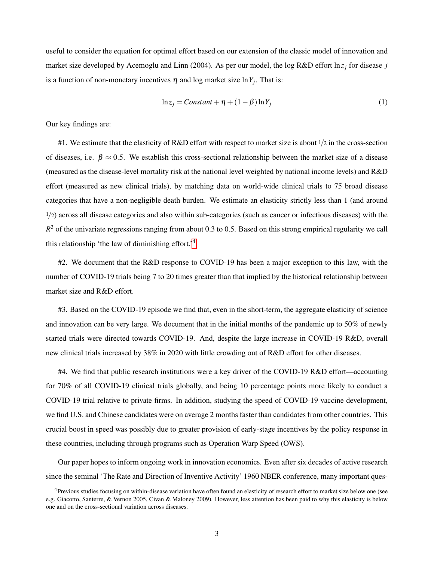useful to consider the equation for optimal effort based on our extension of the classic model of innovation and market size developed by Acemoglu and Linn (2004). As per our model, the log R&D effort ln*z<sup>j</sup>* for disease *j* is a function of non-monetary incentives  $\eta$  and log market size  $\ln Y_j$ . That is:

$$
\ln z_j = Constant + \eta + (1 - \beta) \ln Y_j \tag{1}
$$

Our key findings are:

#1. We estimate that the elasticity of R&D effort with respect to market size is about  $\frac{1}{2}$  in the cross-section of diseases, i.e.  $\beta \approx 0.5$ . We establish this cross-sectional relationship between the market size of a disease (measured as the disease-level mortality risk at the national level weighted by national income levels) and R&D effort (measured as new clinical trials), by matching data on world-wide clinical trials to 75 broad disease categories that have a non-negligible death burden. We estimate an elasticity strictly less than 1 (and around  $1/2$ ) across all disease categories and also within sub-categories (such as cancer or infectious diseases) with the  $R<sup>2</sup>$  of the univariate regressions ranging from about 0.3 to 0.5. Based on this strong empirical regularity we call this relationship 'the law of diminishing effort.'[4](#page-4-0)

#2. We document that the R&D response to COVID-19 has been a major exception to this law, with the number of COVID-19 trials being 7 to 20 times greater than that implied by the historical relationship between market size and R&D effort.

#3. Based on the COVID-19 episode we find that, even in the short-term, the aggregate elasticity of science and innovation can be very large. We document that in the initial months of the pandemic up to 50% of newly started trials were directed towards COVID-19. And, despite the large increase in COVID-19 R&D, overall new clinical trials increased by 38% in 2020 with little crowding out of R&D effort for other diseases.

#4. We find that public research institutions were a key driver of the COVID-19 R&D effort—accounting for 70% of all COVID-19 clinical trials globally, and being 10 percentage points more likely to conduct a COVID-19 trial relative to private firms. In addition, studying the speed of COVID-19 vaccine development, we find U.S. and Chinese candidates were on average 2 months faster than candidates from other countries. This crucial boost in speed was possibly due to greater provision of early-stage incentives by the policy response in these countries, including through programs such as Operation Warp Speed (OWS).

Our paper hopes to inform ongoing work in innovation economics. Even after six decades of active research since the seminal 'The Rate and Direction of Inventive Activity' 1960 NBER conference, many important ques-

<span id="page-4-0"></span><sup>&</sup>lt;sup>4</sup>Previous studies focusing on within-disease variation have often found an elasticity of research effort to market size below one (see e.g. Giacotto, Santerre, & Vernon 2005, Civan & Maloney 2009). However, less attention has been paid to why this elasticity is below one and on the cross-sectional variation across diseases.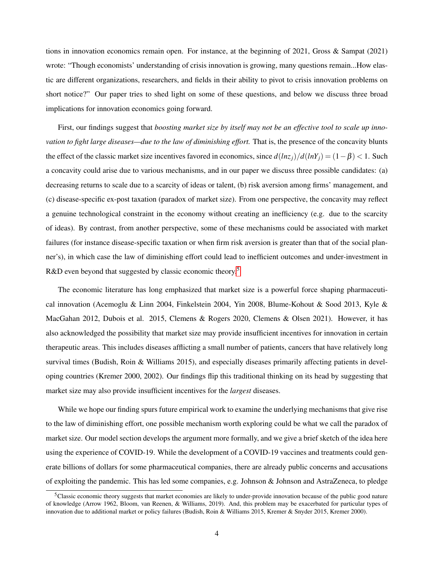tions in innovation economics remain open. For instance, at the beginning of 2021, Gross & Sampat (2021) wrote: "Though economists' understanding of crisis innovation is growing, many questions remain...How elastic are different organizations, researchers, and fields in their ability to pivot to crisis innovation problems on short notice?" Our paper tries to shed light on some of these questions, and below we discuss three broad implications for innovation economics going forward.

First, our findings suggest that *boosting market size by itself may not be an effective tool to scale up innovation to fight large diseases—due to the law of diminishing effort.* That is, the presence of the concavity blunts the effect of the classic market size incentives favored in economics, since  $d(lnz_j)/d(lnY_j) = (1 - \beta) < 1$ . Such a concavity could arise due to various mechanisms, and in our paper we discuss three possible candidates: (a) decreasing returns to scale due to a scarcity of ideas or talent, (b) risk aversion among firms' management, and (c) disease-specific ex-post taxation (paradox of market size). From one perspective, the concavity may reflect a genuine technological constraint in the economy without creating an inefficiency (e.g. due to the scarcity of ideas). By contrast, from another perspective, some of these mechanisms could be associated with market failures (for instance disease-specific taxation or when firm risk aversion is greater than that of the social planner's), in which case the law of diminishing effort could lead to inefficient outcomes and under-investment in R&D even beyond that suggested by classic economic theory.<sup>[5](#page-5-0)</sup>

The economic literature has long emphasized that market size is a powerful force shaping pharmaceutical innovation (Acemoglu & Linn 2004, Finkelstein 2004, Yin 2008, Blume-Kohout & Sood 2013, Kyle & MacGahan 2012, Dubois et al. 2015, Clemens & Rogers 2020, Clemens & Olsen 2021). However, it has also acknowledged the possibility that market size may provide insufficient incentives for innovation in certain therapeutic areas. This includes diseases afflicting a small number of patients, cancers that have relatively long survival times (Budish, Roin & Williams 2015), and especially diseases primarily affecting patients in developing countries (Kremer 2000, 2002). Our findings flip this traditional thinking on its head by suggesting that market size may also provide insufficient incentives for the *largest* diseases.

While we hope our finding spurs future empirical work to examine the underlying mechanisms that give rise to the law of diminishing effort, one possible mechanism worth exploring could be what we call the paradox of market size. Our model section develops the argument more formally, and we give a brief sketch of the idea here using the experience of COVID-19. While the development of a COVID-19 vaccines and treatments could generate billions of dollars for some pharmaceutical companies, there are already public concerns and accusations of exploiting the pandemic. This has led some companies, e.g. Johnson & Johnson and AstraZeneca, to pledge

<span id="page-5-0"></span><sup>&</sup>lt;sup>5</sup>Classic economic theory suggests that market economies are likely to under-provide innovation because of the public good nature of knowledge (Arrow 1962, Bloom, van Reenen, & Williams, 2019). And, this problem may be exacerbated for particular types of innovation due to additional market or policy failures (Budish, Roin & Williams 2015, Kremer & Snyder 2015, Kremer 2000).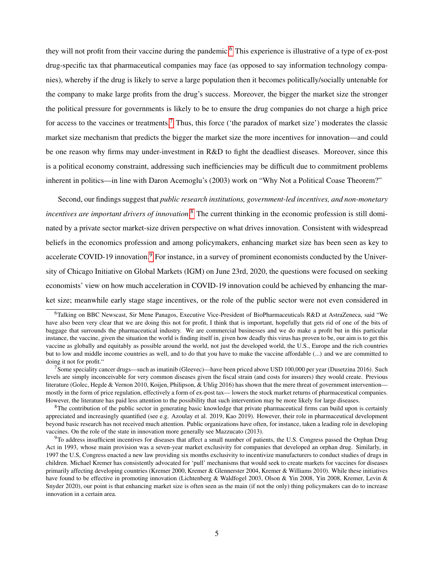they will not profit from their vaccine during the pandemic.<sup>[6](#page-6-0)</sup> This experience is illustrative of a type of ex-post drug-specific tax that pharmaceutical companies may face (as opposed to say information technology companies), whereby if the drug is likely to serve a large population then it becomes politically/socially untenable for the company to make large profits from the drug's success. Moreover, the bigger the market size the stronger the political pressure for governments is likely to be to ensure the drug companies do not charge a high price for access to the vaccines or treatments.<sup>[7](#page-6-1)</sup> Thus, this force ('the paradox of market size') moderates the classic market size mechanism that predicts the bigger the market size the more incentives for innovation—and could be one reason why firms may under-investment in R&D to fight the deadliest diseases. Moreover, since this is a political economy constraint, addressing such inefficiencies may be difficult due to commitment problems inherent in politics—in line with Daron Acemoglu's (2003) work on "Why Not a Political Coase Theorem?"

Second, our findings suggest that *public research institutions, government-led incentives, and non-monetary incentives are important drivers of innovation*. [8](#page-6-2) The current thinking in the economic profession is still dominated by a private sector market-size driven perspective on what drives innovation. Consistent with widespread beliefs in the economics profession and among policymakers, enhancing market size has been seen as key to accelerate COVID-1[9](#page-6-3) innovation.<sup>9</sup> For instance, in a survey of prominent economists conducted by the University of Chicago Initiative on Global Markets (IGM) on June 23rd, 2020, the questions were focused on seeking economists' view on how much acceleration in COVID-19 innovation could be achieved by enhancing the market size; meanwhile early stage stage incentives, or the role of the public sector were not even considered in

<span id="page-6-0"></span><sup>6</sup>Talking on BBC Newscast, Sir Mene Panagos, Executive Vice-President of BioPharmaceuticals R&D at AstraZeneca, said "We have also been very clear that we are doing this not for profit, I think that is important, hopefully that gets rid of one of the bits of baggage that surrounds the pharmaceutical industry. We are commercial businesses and we do make a profit but in this particular instance, the vaccine, given the situation the world is finding itself in, given how deadly this virus has proven to be, our aim is to get this vaccine as globally and equitably as possible around the world, not just the developed world, the U.S., Europe and the rich countries but to low and middle income countries as well, and to do that you have to make the vaccine affordable (...) and we are committed to doing it not for profit."

<span id="page-6-1"></span><sup>7</sup>Some speciality cancer drugs—such as imatinib (Gleevec)—have been priced above USD 100,000 per year (Dusetzina 2016). Such levels are simply inconceivable for very common diseases given the fiscal strain (and costs for insurers) they would create. Previous literature (Golec, Hegde & Vernon 2010, Koijen, Philipson, & Uhlig 2016) has shown that the mere threat of government intervention mostly in the form of price regulation, effectively a form of ex-post tax— lowers the stock market returns of pharmaceutical companies. However, the literature has paid less attention to the possibility that such intervention may be more likely for large diseases.

<span id="page-6-2"></span> ${}^{8}$ The contribution of the public sector in generating basic knowledge that private pharmaceutical firms can build upon is certainly appreciated and increasingly quantified (see e.g. Azoulay et al. 2019, Kao 2019). However, their role in pharmaceutical development beyond basic research has not received much attention. Public organizations have often, for instance, taken a leading role in developing vaccines. On the role of the state in innovation more generally see Mazzucato (2013).

<span id="page-6-3"></span> $9$ To address insufficient incentives for diseases that affect a small number of patients, the U.S. Congress passed the Orphan Drug Act in 1993, whose main provision was a seven-year market exclusivity for companies that developed an orphan drug. Similarly, in 1997 the U.S, Congress enacted a new law providing six months exclusivity to incentivize manufacturers to conduct studies of drugs in children. Michael Kremer has consistently advocated for 'pull' mechanisms that would seek to create markets for vaccines for diseases primarily affecting developing countries (Kremer 2000, Kremer & Glennerster 2004, Kremer & Williams 2010). While these initiatives have found to be effective in promoting innovation (Lichtenberg & Waldfogel 2003, Olson & Yin 2008, Yin 2008, Kremer, Levin & Snyder 2020), our point is that enhancing market size is often seen as the main (if not the only) thing policymakers can do to increase innovation in a certain area.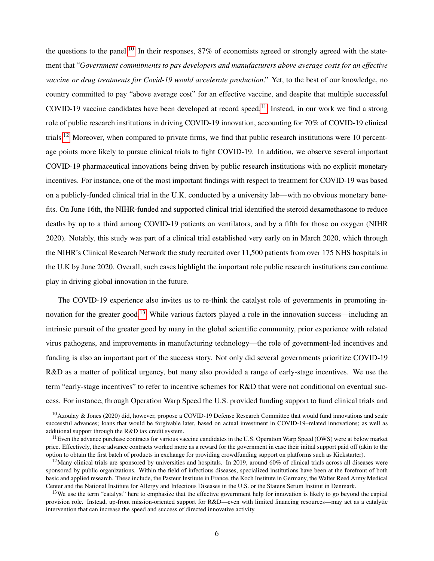the questions to the panel.<sup>[10](#page-7-0)</sup> In their responses, 87% of economists agreed or strongly agreed with the statement that "*Government commitments to pay developers and manufacturers above average costs for an effective vaccine or drug treatments for Covid-19 would accelerate production*." Yet, to the best of our knowledge, no country committed to pay "above average cost" for an effective vaccine, and despite that multiple successful COVID-19 vaccine candidates have been developed at record speed.<sup>[11](#page-7-1)</sup> Instead, in our work we find a strong role of public research institutions in driving COVID-19 innovation, accounting for 70% of COVID-19 clinical trials.[12](#page-7-2) Moreover, when compared to private firms, we find that public research institutions were 10 percentage points more likely to pursue clinical trials to fight COVID-19. In addition, we observe several important COVID-19 pharmaceutical innovations being driven by public research institutions with no explicit monetary incentives. For instance, one of the most important findings with respect to treatment for COVID-19 was based on a publicly-funded clinical trial in the U.K. conducted by a university lab—with no obvious monetary benefits. On June 16th, the NIHR-funded and supported clinical trial identified the steroid dexamethasone to reduce deaths by up to a third among COVID-19 patients on ventilators, and by a fifth for those on oxygen (NIHR 2020). Notably, this study was part of a clinical trial established very early on in March 2020, which through the NIHR's Clinical Research Network the study recruited over 11,500 patients from over 175 NHS hospitals in the U.K by June 2020. Overall, such cases highlight the important role public research institutions can continue play in driving global innovation in the future.

The COVID-19 experience also invites us to re-think the catalyst role of governments in promoting in-novation for the greater good.<sup>[13](#page-7-3)</sup> While various factors played a role in the innovation success—including an intrinsic pursuit of the greater good by many in the global scientific community, prior experience with related virus pathogens, and improvements in manufacturing technology—the role of government-led incentives and funding is also an important part of the success story. Not only did several governments prioritize COVID-19 R&D as a matter of political urgency, but many also provided a range of early-stage incentives. We use the term "early-stage incentives" to refer to incentive schemes for R&D that were not conditional on eventual success. For instance, through Operation Warp Speed the U.S. provided funding support to fund clinical trials and

<span id="page-7-0"></span> $10$ Azoulay & Jones (2020) did, however, propose a COVID-19 Defense Research Committee that would fund innovations and scale successful advances; loans that would be forgivable later, based on actual investment in COVID-19–related innovations; as well as additional support through the R&D tax credit system.

<span id="page-7-1"></span><sup>&</sup>lt;sup>11</sup>Even the advance purchase contracts for various vaccine candidates in the U.S. Operation Warp Speed (OWS) were at below market price. Effectively, these advance contracts worked more as a reward for the government in case their initial support paid off (akin to the option to obtain the first batch of products in exchange for providing crowdfunding support on platforms such as Kickstarter).

<span id="page-7-2"></span><sup>&</sup>lt;sup>12</sup>Many clinical trials are sponsored by universities and hospitals. In 2019, around 60% of clinical trials across all diseases were sponsored by public organizations. Within the field of infectious diseases, specialized institutions have been at the forefront of both basic and applied research. These include, the Pasteur Institute in France, the Koch Institute in Germany, the Walter Reed Army Medical Center and the National Institute for Allergy and Infectious Diseases in the U.S. or the Statens Serum Institut in Denmark.

<span id="page-7-3"></span><sup>&</sup>lt;sup>13</sup>We use the term "catalyst" here to emphasize that the effective government help for innovation is likely to go beyond the capital provision role. Instead, up-front mission-oriented support for R&D—even with limited financing resources—may act as a catalytic intervention that can increase the speed and success of directed innovative activity.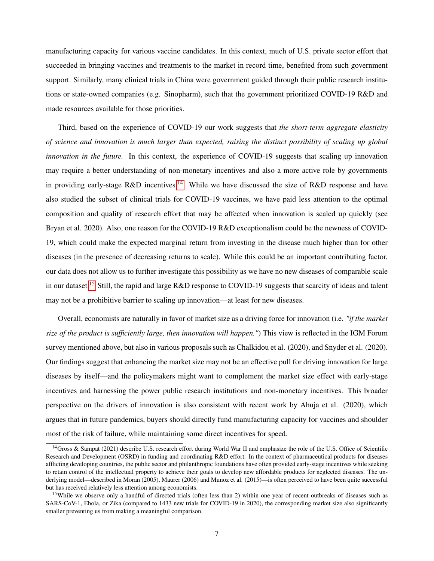manufacturing capacity for various vaccine candidates. In this context, much of U.S. private sector effort that succeeded in bringing vaccines and treatments to the market in record time, benefited from such government support. Similarly, many clinical trials in China were government guided through their public research institutions or state-owned companies (e.g. Sinopharm), such that the government prioritized COVID-19 R&D and made resources available for those priorities.

Third, based on the experience of COVID-19 our work suggests that *the short-term aggregate elasticity of science and innovation is much larger than expected, raising the distinct possibility of scaling up global innovation in the future.* In this context, the experience of COVID-19 suggests that scaling up innovation may require a better understanding of non-monetary incentives and also a more active role by governments in providing early-stage R&D incentives.<sup>[14](#page-8-0)</sup> While we have discussed the size of R&D response and have also studied the subset of clinical trials for COVID-19 vaccines, we have paid less attention to the optimal composition and quality of research effort that may be affected when innovation is scaled up quickly (see Bryan et al. 2020). Also, one reason for the COVID-19 R&D exceptionalism could be the newness of COVID-19, which could make the expected marginal return from investing in the disease much higher than for other diseases (in the presence of decreasing returns to scale). While this could be an important contributing factor, our data does not allow us to further investigate this possibility as we have no new diseases of comparable scale in our dataset.<sup>[15](#page-8-1)</sup> Still, the rapid and large R&D response to COVID-19 suggests that scarcity of ideas and talent may not be a prohibitive barrier to scaling up innovation—at least for new diseases.

Overall, economists are naturally in favor of market size as a driving force for innovation (i.e. *"if the market size of the product is sufficiently large, then innovation will happen."*) This view is reflected in the IGM Forum survey mentioned above, but also in various proposals such as Chalkidou et al. (2020), and Snyder et al. (2020). Our findings suggest that enhancing the market size may not be an effective pull for driving innovation for large diseases by itself—and the policymakers might want to complement the market size effect with early-stage incentives and harnessing the power public research institutions and non-monetary incentives. This broader perspective on the drivers of innovation is also consistent with recent work by Ahuja et al. (2020), which argues that in future pandemics, buyers should directly fund manufacturing capacity for vaccines and shoulder most of the risk of failure, while maintaining some direct incentives for speed.

<span id="page-8-0"></span><sup>&</sup>lt;sup>14</sup>Gross & Sampat (2021) describe U.S. research effort during World War II and emphasize the role of the U.S. Office of Scientific Research and Development (OSRD) in funding and coordinating R&D effort. In the context of pharmaceutical products for diseases afflicting developing countries, the public sector and philanthropic foundations have often provided early-stage incentives while seeking to retain control of the intellectual property to achieve their goals to develop new affordable products for neglected diseases. The underlying model—described in Moran (2005), Maurer (2006) and Munoz et al. (2015)—is often perceived to have been quite successful but has received relatively less attention among economists.

<span id="page-8-1"></span><sup>&</sup>lt;sup>15</sup>While we observe only a handful of directed trials (often less than 2) within one year of recent outbreaks of diseases such as SARS-CoV-1, Ebola, or Zika (compared to 1433 new trials for COVID-19 in 2020), the corresponding market size also significantly smaller preventing us from making a meaningful comparison.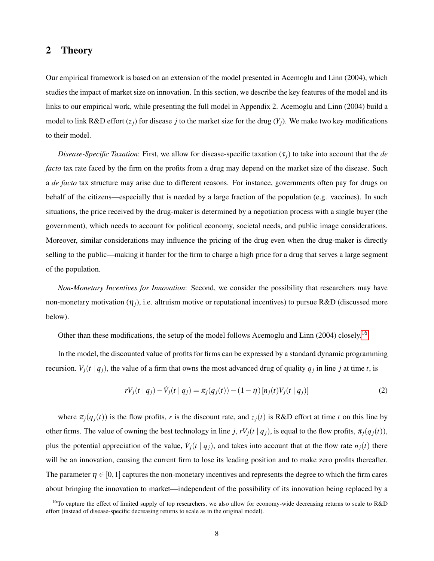## 2 Theory

Our empirical framework is based on an extension of the model presented in Acemoglu and Linn (2004), which studies the impact of market size on innovation. In this section, we describe the key features of the model and its links to our empirical work, while presenting the full model in Appendix 2. Acemoglu and Linn (2004) build a model to link  $R\&D$  effort  $(z_i)$  for disease *j* to the market size for the drug  $(Y_i)$ . We make two key modifications to their model.

*Disease-Specific Taxation*: First, we allow for disease-specific taxation  $(\tau_i)$  to take into account that the *de facto* tax rate faced by the firm on the profits from a drug may depend on the market size of the disease. Such a *de facto* tax structure may arise due to different reasons. For instance, governments often pay for drugs on behalf of the citizens—especially that is needed by a large fraction of the population (e.g. vaccines). In such situations, the price received by the drug-maker is determined by a negotiation process with a single buyer (the government), which needs to account for political economy, societal needs, and public image considerations. Moreover, similar considerations may influence the pricing of the drug even when the drug-maker is directly selling to the public—making it harder for the firm to charge a high price for a drug that serves a large segment of the population.

*Non-Monetary Incentives for Innovation*: Second, we consider the possibility that researchers may have non-monetary motivation  $(\eta_i)$ , i.e. altruism motive or reputational incentives) to pursue R&D (discussed more below).

Other than these modifications, the setup of the model follows Acemoglu and Linn (2004) closely.<sup>[16](#page-9-0)</sup>

In the model, the discounted value of profits for firms can be expressed by a standard dynamic programming recursion.  $V_j(t | q_j)$ , the value of a firm that owns the most advanced drug of quality  $q_j$  in line *j* at time *t*, is

$$
rV_j(t | q_j) - \dot{V}_j(t | q_j) = \pi_j(q_j(t)) - (1 - \eta) [n_j(t)V_j(t | q_j)]
$$
\n(2)

where  $\pi_i(q_i(t))$  is the flow profits, *r* is the discount rate, and  $z_i(t)$  is R&D effort at time *t* on this line by other firms. The value of owning the best technology in line *j*,  $rV_j(t | q_j)$ , is equal to the flow profits,  $\pi_j(q_j(t))$ , plus the potential appreciation of the value,  $\dot{V}_j(t | q_j)$ , and takes into account that at the flow rate  $n_j(t)$  there will be an innovation, causing the current firm to lose its leading position and to make zero profits thereafter. The parameter  $\eta \in [0,1]$  captures the non-monetary incentives and represents the degree to which the firm cares about bringing the innovation to market—independent of the possibility of its innovation being replaced by a

<span id="page-9-0"></span><sup>&</sup>lt;sup>16</sup>To capture the effect of limited supply of top researchers, we also allow for economy-wide decreasing returns to scale to R&D effort (instead of disease-specific decreasing returns to scale as in the original model).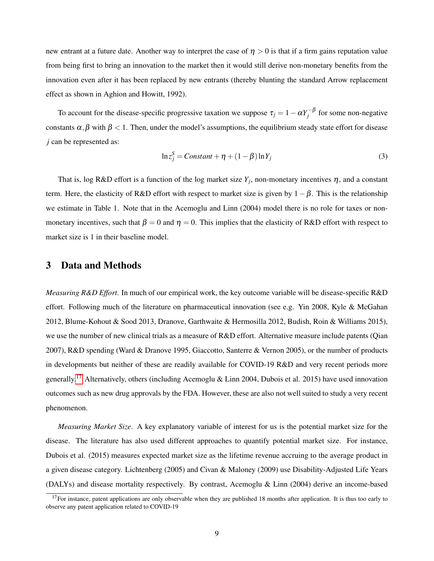new entrant at a future date. Another way to interpret the case of  $\eta > 0$  is that if a firm gains reputation value from being first to bring an innovation to the market then it would still derive non-monetary benefits from the innovation even after it has been replaced by new entrants (thereby blunting the standard Arrow replacement effect as shown in Aghion and Howitt, 1992).

To account for the disease-specific progressive taxation we suppose  $\tau_j = 1 - \alpha Y_j^{-\beta}$  for some non-negative constants  $\alpha, \beta$  with  $\beta < 1$ . Then, under the model's assumptions, the equilibrium steady state effort for disease *j* can be represented as:

$$
\ln z_j^S = Constant + \eta + (1 - \beta) \ln Y_j \tag{3}
$$

That is, log R&D effort is a function of the log market size  $Y_j$ , non-monetary incentives  $\eta$ , and a constant term. Here, the elasticity of R&D effort with respect to market size is given by  $1-\beta$ . This is the relationship we estimate in Table 1. Note that in the Acemoglu and Linn (2004) model there is no role for taxes or nonmonetary incentives, such that  $\beta = 0$  and  $\eta = 0$ . This implies that the elasticity of R&D effort with respect to market size is 1 in their baseline model.

### 3 Data and Methods

*Measuring R&D Effort*. In much of our empirical work, the key outcome variable will be disease-specific R&D effort. Following much of the literature on pharmaceutical innovation (see e.g. Yin 2008, Kyle & McGahan 2012, Blume-Kohout & Sood 2013, Dranove, Garthwaite & Hermosilla 2012, Budish, Roin & Williams 2015), we use the number of new clinical trials as a measure of R&D effort. Alternative measure include patents (Qian 2007), R&D spending (Ward & Dranove 1995, Giaccotto, Santerre & Vernon 2005), or the number of products in developments but neither of these are readily available for COVID-19 R&D and very recent periods more generally.<sup>[17](#page-10-0)</sup> Alternatively, others (including Acemoglu & Linn 2004, Dubois et al. 2015) have used innovation outcomes such as new drug approvals by the FDA. However, these are also not well suited to study a very recent phenomenon.

*Measuring Market Size*. A key explanatory variable of interest for us is the potential market size for the disease. The literature has also used different approaches to quantify potential market size. For instance, Dubois et al. (2015) measures expected market size as the lifetime revenue accruing to the average product in a given disease category. Lichtenberg (2005) and Civan & Maloney (2009) use Disability-Adjusted Life Years (DALYs) and disease mortality respectively. By contrast, Acemoglu & Linn (2004) derive an income-based

<span id="page-10-0"></span> $17$  For instance, patent applications are only observable when they are published 18 months after application. It is thus too early to observe any patent application related to COVID-19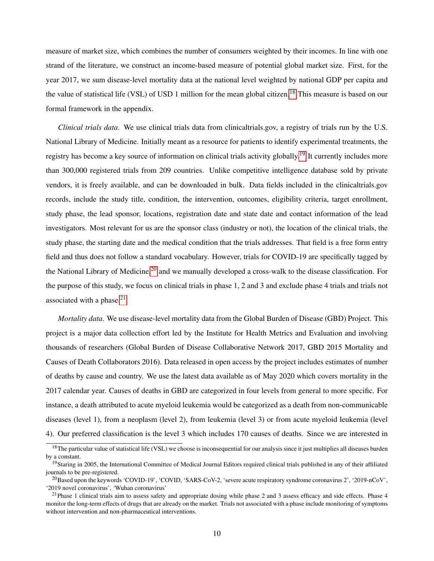measure of market size, which combines the number of consumers weighted by their incomes. In line with one strand of the literature, we construct an income-based measure of potential global market size. First, for the year 2017, we sum disease-level mortality data at the national level weighted by national GDP per capita and the value of statistical life (VSL) of USD 1 million for the mean global citizen.<sup>[18](#page-11-0)</sup> This measure is based on our formal framework in the appendix.

*Clinical trials data*. We use clinical trials data from clinicaltrials.gov, a registry of trials run by the U.S. National Library of Medicine. Initially meant as a resource for patients to identify experimental treatments, the registry has become a key source of information on clinical trials activity globally.<sup>[19](#page-11-1)</sup> It currently includes more than 300,000 registered trials from 209 countries. Unlike competitive intelligence database sold by private vendors, it is freely available, and can be downloaded in bulk. Data fields included in the clinicaltrials.gov records, include the study title, condition, the intervention, outcomes, eligibility criteria, target enrollment, study phase, the lead sponsor, locations, registration date and state date and contact information of the lead investigators. Most relevant for us are the sponsor class (industry or not), the location of the clinical trials, the study phase, the starting date and the medical condition that the trials addresses. That field is a free form entry field and thus does not follow a standard vocabulary. However, trials for COVID-19 are specifically tagged by the National Library of Medicine,<sup>[20](#page-11-2)</sup> and we manually developed a cross-walk to the disease classification. For the purpose of this study, we focus on clinical trials in phase 1, 2 and 3 and exclude phase 4 trials and trials not associated with a phase. $21$ 

*Mortality data*. We use disease-level mortality data from the Global Burden of Disease (GBD) Project. This project is a major data collection effort led by the Institute for Health Metrics and Evaluation and involving thousands of researchers (Global Burden of Disease Collaborative Network 2017, GBD 2015 Mortality and Causes of Death Collaborators 2016). Data released in open access by the project includes estimates of number of deaths by cause and country. We use the latest data available as of May 2020 which covers mortality in the 2017 calendar year. Causes of deaths in GBD are categorized in four levels from general to more specific. For instance, a death attributed to acute myeloid leukemia would be categorized as a death from non-communicable diseases (level 1), from a neoplasm (level 2), from leukemia (level 3) or from acute myeloid leukemia (level 4). Our preferred classification is the level 3 which includes 170 causes of deaths. Since we are interested in

<span id="page-11-0"></span> $18$ The particular value of statistical life (VSL) we choose is inconsequential for our analysis since it just multiplies all diseases burden by a constant.

<span id="page-11-1"></span><sup>&</sup>lt;sup>19</sup>Staring in 2005, the International Committee of Medical Journal Editors required clinical trials published in any of their affiliated journals to be pre-registered.

<span id="page-11-2"></span> $^{20}$ Based upon the keywords 'COVID-19', 'COVID, 'SARS-CoV-2, 'severe acute respiratory syndrome coronavirus 2', '2019-nCoV', '2019 novel coronavirus', 'Wuhan coronavirus'

<span id="page-11-3"></span> $^{21}$ Phase 1 clinical trials aim to assess safety and appropriate dosing while phase 2 and 3 assess efficacy and side effects. Phase 4 monitor the long-term effects of drugs that are already on the market. Trials not associated with a phase include monitoring of symptoms without intervention and non-pharmaceutical interventions.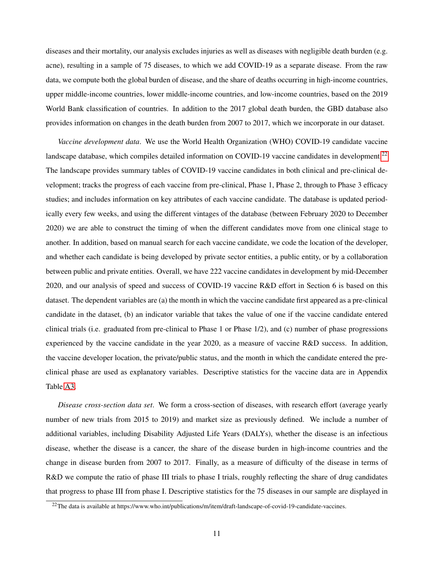diseases and their mortality, our analysis excludes injuries as well as diseases with negligible death burden (e.g. acne), resulting in a sample of 75 diseases, to which we add COVID-19 as a separate disease. From the raw data, we compute both the global burden of disease, and the share of deaths occurring in high-income countries, upper middle-income countries, lower middle-income countries, and low-income countries, based on the 2019 World Bank classification of countries. In addition to the 2017 global death burden, the GBD database also provides information on changes in the death burden from 2007 to 2017, which we incorporate in our dataset.

*Vaccine development data*. We use the World Health Organization (WHO) COVID-19 candidate vaccine landscape database, which compiles detailed information on COVID-19 vaccine candidates in development.<sup>[22](#page-12-0)</sup> The landscape provides summary tables of COVID-19 vaccine candidates in both clinical and pre-clinical development; tracks the progress of each vaccine from pre-clinical, Phase 1, Phase 2, through to Phase 3 efficacy studies; and includes information on key attributes of each vaccine candidate. The database is updated periodically every few weeks, and using the different vintages of the database (between February 2020 to December 2020) we are able to construct the timing of when the different candidates move from one clinical stage to another. In addition, based on manual search for each vaccine candidate, we code the location of the developer, and whether each candidate is being developed by private sector entities, a public entity, or by a collaboration between public and private entities. Overall, we have 222 vaccine candidates in development by mid-December 2020, and our analysis of speed and success of COVID-19 vaccine R&D effort in Section 6 is based on this dataset. The dependent variables are (a) the month in which the vaccine candidate first appeared as a pre-clinical candidate in the dataset, (b) an indicator variable that takes the value of one if the vaccine candidate entered clinical trials (i.e. graduated from pre-clinical to Phase 1 or Phase 1/2), and (c) number of phase progressions experienced by the vaccine candidate in the year 2020, as a measure of vaccine R&D success. In addition, the vaccine developer location, the private/public status, and the month in which the candidate entered the preclinical phase are used as explanatory variables. Descriptive statistics for the vaccine data are in Appendix Table [A3.](#page-47-0)

*Disease cross-section data set*. We form a cross-section of diseases, with research effort (average yearly number of new trials from 2015 to 2019) and market size as previously defined. We include a number of additional variables, including Disability Adjusted Life Years (DALYs), whether the disease is an infectious disease, whether the disease is a cancer, the share of the disease burden in high-income countries and the change in disease burden from 2007 to 2017. Finally, as a measure of difficulty of the disease in terms of R&D we compute the ratio of phase III trials to phase I trials, roughly reflecting the share of drug candidates that progress to phase III from phase I. Descriptive statistics for the 75 diseases in our sample are displayed in

<span id="page-12-0"></span><sup>&</sup>lt;sup>22</sup>The data is available at https://www.who.int/publications/m/item/draft-landscape-of-covid-19-candidate-vaccines.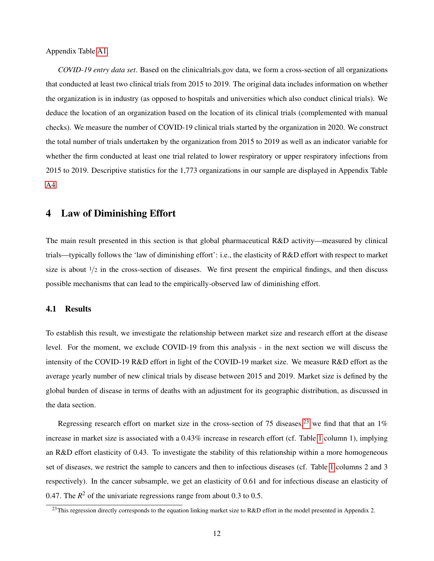Appendix Table [A1.](#page-45-0)

*COVID-19 entry data set*. Based on the clinicaltrials.gov data, we form a cross-section of all organizations that conducted at least two clinical trials from 2015 to 2019. The original data includes information on whether the organization is in industry (as opposed to hospitals and universities which also conduct clinical trials). We deduce the location of an organization based on the location of its clinical trials (complemented with manual checks). We measure the number of COVID-19 clinical trials started by the organization in 2020. We construct the total number of trials undertaken by the organization from 2015 to 2019 as well as an indicator variable for whether the firm conducted at least one trial related to lower respiratory or upper respiratory infections from 2015 to 2019. Descriptive statistics for the 1,773 organizations in our sample are displayed in Appendix Table [A4.](#page-48-0)

### 4 Law of Diminishing Effort

The main result presented in this section is that global pharmaceutical R&D activity—measured by clinical trials—typically follows the 'law of diminishing effort': i.e., the elasticity of R&D effort with respect to market size is about  $1/2$  in the cross-section of diseases. We first present the empirical findings, and then discuss possible mechanisms that can lead to the empirically-observed law of diminishing effort.

#### 4.1 Results

To establish this result, we investigate the relationship between market size and research effort at the disease level. For the moment, we exclude COVID-19 from this analysis - in the next section we will discuss the intensity of the COVID-19 R&D effort in light of the COVID-19 market size. We measure R&D effort as the average yearly number of new clinical trials by disease between 2015 and 2019. Market size is defined by the global burden of disease in terms of deaths with an adjustment for its geographic distribution, as discussed in the data section.

Regressing research effort on market size in the cross-section of 75 diseases,<sup>[23](#page-13-0)</sup> we find that that an  $1\%$ increase in market size is associated with a 0.43% increase in research effort (cf. Table [1](#page-39-0) column 1), implying an R&D effort elasticity of 0.43. To investigate the stability of this relationship within a more homogeneous set of diseases, we restrict the sample to cancers and then to infectious diseases (cf. Table [1](#page-39-0) columns 2 and 3 respectively). In the cancer subsample, we get an elasticity of 0.61 and for infectious disease an elasticity of 0.47. The  $R^2$  of the univariate regressions range from about 0.3 to 0.5.

<span id="page-13-0"></span><sup>&</sup>lt;sup>23</sup>This regression directly corresponds to the equation linking market size to R&D effort in the model presented in Appendix 2.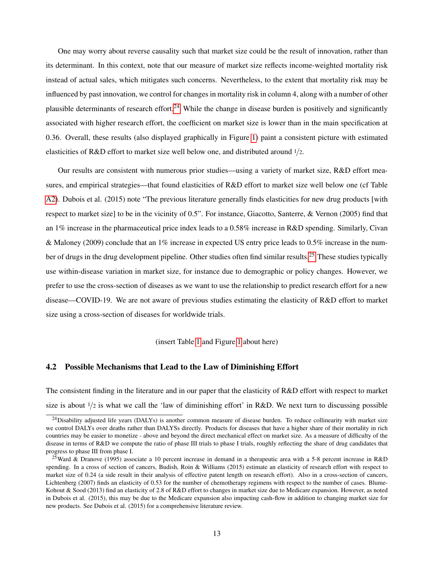One may worry about reverse causality such that market size could be the result of innovation, rather than its determinant. In this context, note that our measure of market size reflects income-weighted mortality risk instead of actual sales, which mitigates such concerns. Nevertheless, to the extent that mortality risk may be influenced by past innovation, we control for changes in mortality risk in column 4, along with a number of other plausible determinants of research effort.<sup>[24](#page-14-0)</sup> While the change in disease burden is positively and significantly associated with higher research effort, the coefficient on market size is lower than in the main specification at 0.36. Overall, these results (also displayed graphically in Figure [1\)](#page-33-0) paint a consistent picture with estimated elasticities of R&D effort to market size well below one, and distributed around  $1/2$ .

Our results are consistent with numerous prior studies—using a variety of market size, R&D effort measures, and empirical strategies—that found elasticities of R&D effort to market size well below one (cf Table [A2\)](#page-46-0). Dubois et al. (2015) note "The previous literature generally finds elasticities for new drug products [with respect to market size] to be in the vicinity of 0.5". For instance, Giacotto, Santerre, & Vernon (2005) find that an 1% increase in the pharmaceutical price index leads to a 0.58% increase in R&D spending. Similarly, Civan & Maloney (2009) conclude that an 1% increase in expected US entry price leads to 0.5% increase in the num-ber of drugs in the drug development pipeline. Other studies often find similar results.<sup>[25](#page-14-1)</sup> These studies typically use within-disease variation in market size, for instance due to demographic or policy changes. However, we prefer to use the cross-section of diseases as we want to use the relationship to predict research effort for a new disease—COVID-19. We are not aware of previous studies estimating the elasticity of R&D effort to market size using a cross-section of diseases for worldwide trials.

(insert Table [1](#page-39-0) and Figure [1](#page-33-0) about here)

#### 4.2 Possible Mechanisms that Lead to the Law of Diminishing Effort

The consistent finding in the literature and in our paper that the elasticity of R&D effort with respect to market size is about  $1/2$  is what we call the 'law of diminishing effort' in R&D. We next turn to discussing possible

<span id="page-14-0"></span> $^{24}$ Disability adjusted life years (DALYs) is another common measure of disease burden. To reduce collinearity with market size we control DALYs over deaths rather than DALYSs directly. Products for diseases that have a higher share of their mortality in rich countries may be easier to monetize - above and beyond the direct mechanical effect on market size. As a measure of difficulty of the disease in terms of R&D we compute the ratio of phase III trials to phase I trials, roughly reflecting the share of drug candidates that progress to phase III from phase I.

<span id="page-14-1"></span><sup>&</sup>lt;sup>25</sup>Ward & Dranove (1995) associate a 10 percent increase in demand in a therapeutic area with a 5-8 percent increase in R&D spending. In a cross of section of cancers, Budish, Roin & Williams (2015) estimate an elasticity of research effort with respect to market size of 0.24 (a side result in their analysis of effective patent length on research effort). Also in a cross-section of cancers, Lichtenberg (2007) finds an elasticity of 0.53 for the number of chemotherapy regimens with respect to the number of cases. Blume-Kohout & Sood (2013) find an elasticity of 2.8 of R&D effort to changes in market size due to Medicare expansion. However, as noted in Dubois et al. (2015), this may be due to the Medicare expansion also impacting cash-flow in addition to changing market size for new products. See Dubois et al. (2015) for a comprehensive literature review.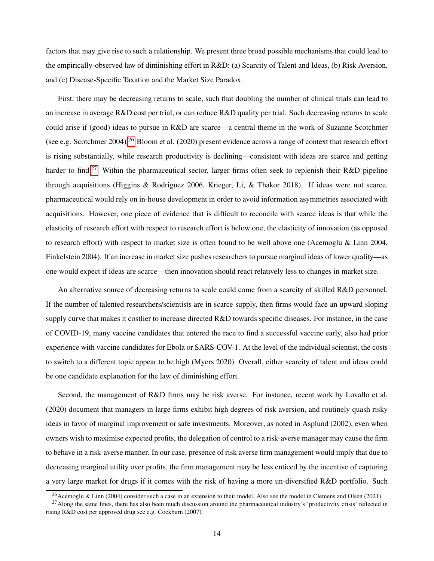factors that may give rise to such a relationship. We present three broad possible mechanisms that could lead to the empirically-observed law of diminishing effort in R&D: (a) Scarcity of Talent and Ideas, (b) Risk Aversion, and (c) Disease-Specific Taxation and the Market Size Paradox.

First, there may be decreasing returns to scale, such that doubling the number of clinical trials can lead to an increase in average  $R&D$  cost per trial, or can reduce  $R&D$  quality per trial. Such decreasing returns to scale could arise if (good) ideas to pursue in R&D are scarce—a central theme in the work of Suzanne Scotchmer (see e.g. Scotchmer 2004).<sup>[26](#page-15-0)</sup> Bloom et al. (2020) present evidence across a range of context that research effort is rising substantially, while research productivity is declining—consistent with ideas are scarce and getting harder to find.<sup>[27](#page-15-1)</sup> Within the pharmaceutical sector, larger firms often seek to replenish their R&D pipeline through acquisitions (Higgins & Rodriguez 2006, Krieger, Li, & Thakor 2018). If ideas were not scarce, pharmaceutical would rely on in-house development in order to avoid information asymmetries associated with acquisitions. However, one piece of evidence that is difficult to reconcile with scarce ideas is that while the elasticity of research effort with respect to research effort is below one, the elasticity of innovation (as opposed to research effort) with respect to market size is often found to be well above one (Acemoglu & Linn 2004, Finkelstein 2004). If an increase in market size pushes researchers to pursue marginal ideas of lower quality—as one would expect if ideas are scarce—then innovation should react relatively less to changes in market size.

An alternative source of decreasing returns to scale could come from a scarcity of skilled R&D personnel. If the number of talented researchers/scientists are in scarce supply, then firms would face an upward sloping supply curve that makes it costlier to increase directed R&D towards specific diseases. For instance, in the case of COVID-19, many vaccine candidates that entered the race to find a successful vaccine early, also had prior experience with vaccine candidates for Ebola or SARS-COV-1. At the level of the individual scientist, the costs to switch to a different topic appear to be high (Myers 2020). Overall, either scarcity of talent and ideas could be one candidate explanation for the law of diminishing effort.

Second, the management of R&D firms may be risk averse. For instance, recent work by Lovallo et al. (2020) document that managers in large firms exhibit high degrees of risk aversion, and routinely quash risky ideas in favor of marginal improvement or safe investments. Moreover, as noted in Asplund (2002), even when owners wish to maximise expected profits, the delegation of control to a risk-averse manager may cause the firm to behave in a risk-averse manner. In our case, presence of risk averse firm management would imply that due to decreasing marginal utility over profits, the firm management may be less enticed by the incentive of capturing a very large market for drugs if it comes with the risk of having a more un-diversified R&D portfolio. Such

<span id="page-15-1"></span><span id="page-15-0"></span><sup>&</sup>lt;sup>26</sup>Acemoglu & Linn (2004) consider such a case in an extension to their model. Also see the model in Clemens and Olsen (2021).

<sup>&</sup>lt;sup>27</sup>Along the same lines, there has also been much discussion around the pharmaceutical industry's 'productivity crisis' reflected in rising R&D cost per approved drug see e.g. Cockburn (2007).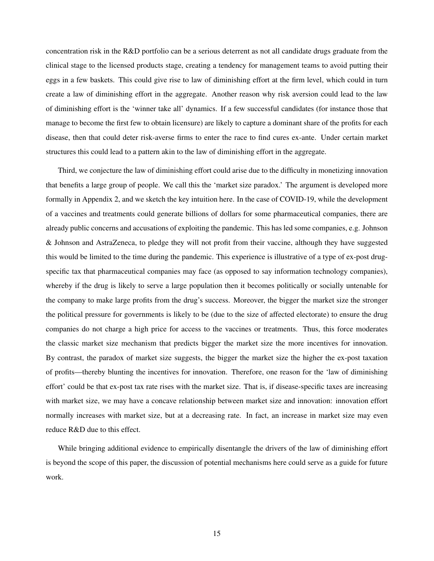concentration risk in the R&D portfolio can be a serious deterrent as not all candidate drugs graduate from the clinical stage to the licensed products stage, creating a tendency for management teams to avoid putting their eggs in a few baskets. This could give rise to law of diminishing effort at the firm level, which could in turn create a law of diminishing effort in the aggregate. Another reason why risk aversion could lead to the law of diminishing effort is the 'winner take all' dynamics. If a few successful candidates (for instance those that manage to become the first few to obtain licensure) are likely to capture a dominant share of the profits for each disease, then that could deter risk-averse firms to enter the race to find cures ex-ante. Under certain market structures this could lead to a pattern akin to the law of diminishing effort in the aggregate.

Third, we conjecture the law of diminishing effort could arise due to the difficulty in monetizing innovation that benefits a large group of people. We call this the 'market size paradox.' The argument is developed more formally in Appendix 2, and we sketch the key intuition here. In the case of COVID-19, while the development of a vaccines and treatments could generate billions of dollars for some pharmaceutical companies, there are already public concerns and accusations of exploiting the pandemic. This has led some companies, e.g. Johnson & Johnson and AstraZeneca, to pledge they will not profit from their vaccine, although they have suggested this would be limited to the time during the pandemic. This experience is illustrative of a type of ex-post drugspecific tax that pharmaceutical companies may face (as opposed to say information technology companies), whereby if the drug is likely to serve a large population then it becomes politically or socially untenable for the company to make large profits from the drug's success. Moreover, the bigger the market size the stronger the political pressure for governments is likely to be (due to the size of affected electorate) to ensure the drug companies do not charge a high price for access to the vaccines or treatments. Thus, this force moderates the classic market size mechanism that predicts bigger the market size the more incentives for innovation. By contrast, the paradox of market size suggests, the bigger the market size the higher the ex-post taxation of profits—thereby blunting the incentives for innovation. Therefore, one reason for the 'law of diminishing effort' could be that ex-post tax rate rises with the market size. That is, if disease-specific taxes are increasing with market size, we may have a concave relationship between market size and innovation: innovation effort normally increases with market size, but at a decreasing rate. In fact, an increase in market size may even reduce R&D due to this effect.

While bringing additional evidence to empirically disentangle the drivers of the law of diminishing effort is beyond the scope of this paper, the discussion of potential mechanisms here could serve as a guide for future work.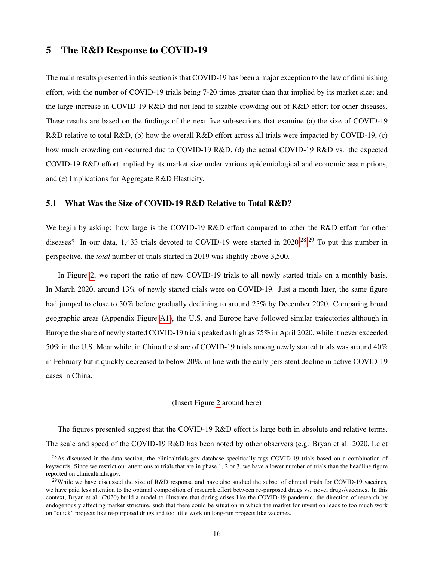### 5 The R&D Response to COVID-19

The main results presented in this section is that COVID-19 has been a major exception to the law of diminishing effort, with the number of COVID-19 trials being 7-20 times greater than that implied by its market size; and the large increase in COVID-19 R&D did not lead to sizable crowding out of R&D effort for other diseases. These results are based on the findings of the next five sub-sections that examine (a) the size of COVID-19 R&D relative to total R&D, (b) how the overall R&D effort across all trials were impacted by COVID-19, (c) how much crowding out occurred due to COVID-19 R&D, (d) the actual COVID-19 R&D vs. the expected COVID-19 R&D effort implied by its market size under various epidemiological and economic assumptions, and (e) Implications for Aggregate R&D Elasticity.

#### 5.1 What Was the Size of COVID-19 R&D Relative to Total R&D?

We begin by asking: how large is the COVID-19 R&D effort compared to other the R&D effort for other diseases? In our data, 1,433 trials devoted to COVID-19 were started in 2020.<sup>[28](#page-17-0),[29](#page-17-1)</sup> To put this number in perspective, the *total* number of trials started in 2019 was slightly above 3,500.

In Figure [2,](#page-34-0) we report the ratio of new COVID-19 trials to all newly started trials on a monthly basis. In March 2020, around 13% of newly started trials were on COVID-19. Just a month later, the same figure had jumped to close to 50% before gradually declining to around 25% by December 2020. Comparing broad geographic areas (Appendix Figure [A1\)](#page-43-0), the U.S. and Europe have followed similar trajectories although in Europe the share of newly started COVID-19 trials peaked as high as 75% in April 2020, while it never exceeded 50% in the U.S. Meanwhile, in China the share of COVID-19 trials among newly started trials was around 40% in February but it quickly decreased to below 20%, in line with the early persistent decline in active COVID-19 cases in China.

#### (Insert Figure [2](#page-34-0) around here)

The figures presented suggest that the COVID-19 R&D effort is large both in absolute and relative terms. The scale and speed of the COVID-19 R&D has been noted by other observers (e.g. Bryan et al. 2020, Le et

<span id="page-17-0"></span> $^{28}$ As discussed in the data section, the clinicaltrials.gov database specifically tags COVID-19 trials based on a combination of keywords. Since we restrict our attentions to trials that are in phase 1, 2 or 3, we have a lower number of trials than the headline figure reported on clinicaltrials.gov.

<span id="page-17-1"></span> $^{29}$ While we have discussed the size of R&D response and have also studied the subset of clinical trials for COVID-19 vaccines, we have paid less attention to the optimal composition of research effort between re-purposed drugs vs. novel drugs/vaccines. In this context, Bryan et al. (2020) build a model to illustrate that during crises like the COVID-19 pandemic, the direction of research by endogenously affecting market structure, such that there could be situation in which the market for invention leads to too much work on "quick" projects like re-purposed drugs and too little work on long-run projects like vaccines.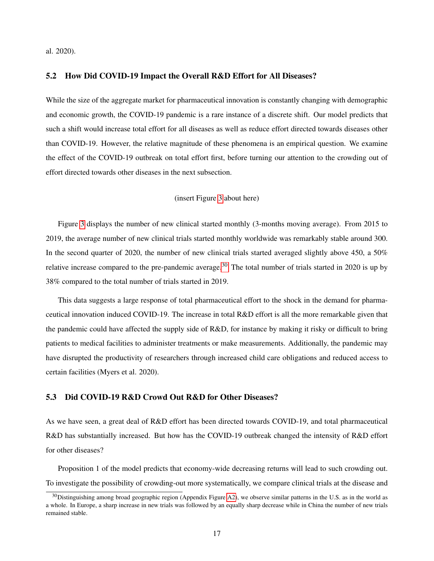al. 2020).

#### 5.2 How Did COVID-19 Impact the Overall R&D Effort for All Diseases?

While the size of the aggregate market for pharmaceutical innovation is constantly changing with demographic and economic growth, the COVID-19 pandemic is a rare instance of a discrete shift. Our model predicts that such a shift would increase total effort for all diseases as well as reduce effort directed towards diseases other than COVID-19. However, the relative magnitude of these phenomena is an empirical question. We examine the effect of the COVID-19 outbreak on total effort first, before turning our attention to the crowding out of effort directed towards other diseases in the next subsection.

#### (insert Figure [3](#page-35-0) about here)

Figure [3](#page-35-0) displays the number of new clinical started monthly (3-months moving average). From 2015 to 2019, the average number of new clinical trials started monthly worldwide was remarkably stable around 300. In the second quarter of 2020, the number of new clinical trials started averaged slightly above 450, a 50% relative increase compared to the pre-pandemic average.<sup>[30](#page-18-0)</sup> The total number of trials started in 2020 is up by 38% compared to the total number of trials started in 2019.

This data suggests a large response of total pharmaceutical effort to the shock in the demand for pharmaceutical innovation induced COVID-19. The increase in total R&D effort is all the more remarkable given that the pandemic could have affected the supply side of R&D, for instance by making it risky or difficult to bring patients to medical facilities to administer treatments or make measurements. Additionally, the pandemic may have disrupted the productivity of researchers through increased child care obligations and reduced access to certain facilities (Myers et al. 2020).

### 5.3 Did COVID-19 R&D Crowd Out R&D for Other Diseases?

As we have seen, a great deal of R&D effort has been directed towards COVID-19, and total pharmaceutical R&D has substantially increased. But how has the COVID-19 outbreak changed the intensity of R&D effort for other diseases?

Proposition 1 of the model predicts that economy-wide decreasing returns will lead to such crowding out. To investigate the possibility of crowding-out more systematically, we compare clinical trials at the disease and

<span id="page-18-0"></span> $30$ Distinguishing among broad geographic region (Appendix Figure [A2\)](#page-44-0), we observe similar patterns in the U.S. as in the world as a whole. In Europe, a sharp increase in new trials was followed by an equally sharp decrease while in China the number of new trials remained stable.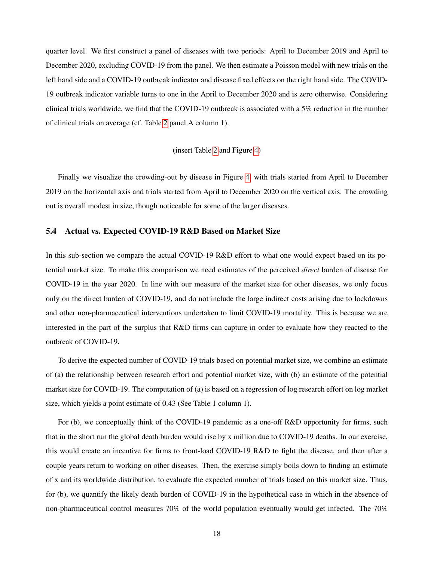quarter level. We first construct a panel of diseases with two periods: April to December 2019 and April to December 2020, excluding COVID-19 from the panel. We then estimate a Poisson model with new trials on the left hand side and a COVID-19 outbreak indicator and disease fixed effects on the right hand side. The COVID-19 outbreak indicator variable turns to one in the April to December 2020 and is zero otherwise. Considering clinical trials worldwide, we find that the COVID-19 outbreak is associated with a 5% reduction in the number of clinical trials on average (cf. Table [2](#page-40-0) panel A column 1).

#### (insert Table [2](#page-40-0) and Figure [4\)](#page-36-0)

Finally we visualize the crowding-out by disease in Figure [4,](#page-36-0) with trials started from April to December 2019 on the horizontal axis and trials started from April to December 2020 on the vertical axis. The crowding out is overall modest in size, though noticeable for some of the larger diseases.

#### 5.4 Actual vs. Expected COVID-19 R&D Based on Market Size

In this sub-section we compare the actual COVID-19 R&D effort to what one would expect based on its potential market size. To make this comparison we need estimates of the perceived *direct* burden of disease for COVID-19 in the year 2020. In line with our measure of the market size for other diseases, we only focus only on the direct burden of COVID-19, and do not include the large indirect costs arising due to lockdowns and other non-pharmaceutical interventions undertaken to limit COVID-19 mortality. This is because we are interested in the part of the surplus that R&D firms can capture in order to evaluate how they reacted to the outbreak of COVID-19.

To derive the expected number of COVID-19 trials based on potential market size, we combine an estimate of (a) the relationship between research effort and potential market size, with (b) an estimate of the potential market size for COVID-19. The computation of (a) is based on a regression of log research effort on log market size, which yields a point estimate of 0.43 (See Table 1 column 1).

For (b), we conceptually think of the COVID-19 pandemic as a one-off R&D opportunity for firms, such that in the short run the global death burden would rise by x million due to COVID-19 deaths. In our exercise, this would create an incentive for firms to front-load COVID-19 R&D to fight the disease, and then after a couple years return to working on other diseases. Then, the exercise simply boils down to finding an estimate of x and its worldwide distribution, to evaluate the expected number of trials based on this market size. Thus, for (b), we quantify the likely death burden of COVID-19 in the hypothetical case in which in the absence of non-pharmaceutical control measures 70% of the world population eventually would get infected. The 70%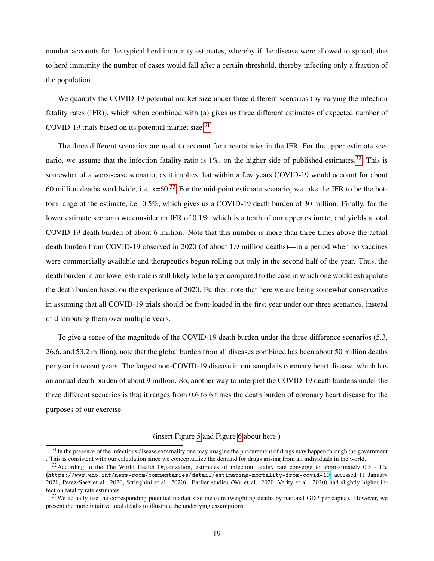number accounts for the typical herd immunity estimates, whereby if the disease were allowed to spread, due to herd immunity the number of cases would fall after a certain threshold, thereby infecting only a fraction of the population.

We quantify the COVID-19 potential market size under three different scenarios (by varying the infection fatality rates (IFR)), which when combined with (a) gives us three different estimates of expected number of COVID-19 trials based on its potential market size. $31$ 

The three different scenarios are used to account for uncertainties in the IFR. For the upper estimate scenario, we assume that the infection fatality ratio is  $1\%$ , on the higher side of published estimates.<sup>[32](#page-20-1)</sup> This is somewhat of a worst-case scenario, as it implies that within a few years COVID-19 would account for about 60 million deaths worldwide, i.e.  $x=60^{33}$  $x=60^{33}$  $x=60^{33}$  For the mid-point estimate scenario, we take the IFR to be the bottom range of the estimate, i.e. 0.5%, which gives us a COVID-19 death burden of 30 million. Finally, for the lower estimate scenario we consider an IFR of 0.1%, which is a tenth of our upper estimate, and yields a total COVID-19 death burden of about 6 million. Note that this number is more than three times above the actual death burden from COVID-19 observed in 2020 (of about 1.9 million deaths)—in a period when no vaccines were commercially available and therapeutics begun rolling out only in the second half of the year. Thus, the death burden in our lower estimate is still likely to be larger compared to the case in which one would extrapolate the death burden based on the experience of 2020. Further, note that here we are being somewhat conservative in assuming that all COVID-19 trials should be front-loaded in the first year under our three scenarios, instead of distributing them over multiple years.

To give a sense of the magnitude of the COVID-19 death burden under the three difference scenarios (5.3, 26.6, and 53.2 million), note that the global burden from all diseases combined has been about 50 million deaths per year in recent years. The largest non-COVID-19 disease in our sample is coronary heart disease, which has an annual death burden of about 9 million. So, another way to interpret the COVID-19 death burdens under the three different scenarios is that it ranges from 0.6 to 6 times the death burden of coronary heart disease for the purposes of our exercise.

#### (insert Figure [5](#page-37-0) and Figure [6](#page-38-0) about here )

<span id="page-20-0"></span> $31$ In the presence of the infectious disease externality one may imagine the procurement of drugs may happen through the government . This is consistent with our calculation since we conceptualize the demand for drugs arising from all individuals in the world.

<span id="page-20-1"></span> $32$ According to the The World Health Organization, estimates of infection fatality rate converge to approximately 0.5 - 1% (<https://www.who.int/news-room/commentaries/detail/estimating-mortality-from-covid-19>, accessed 11 January 2021, Perez-Saez et al. 2020, Stringhini et al. 2020). Earlier studies (Wu et al. 2020, Verity et al. 2020) had slightly higher infection fatality rate estimates.

<span id="page-20-2"></span> $33$ We actually use the corresponding potential market size measure (weighting deaths by national GDP per capita). However, we present the more intuitive total deaths to illustrate the underlying assumptions.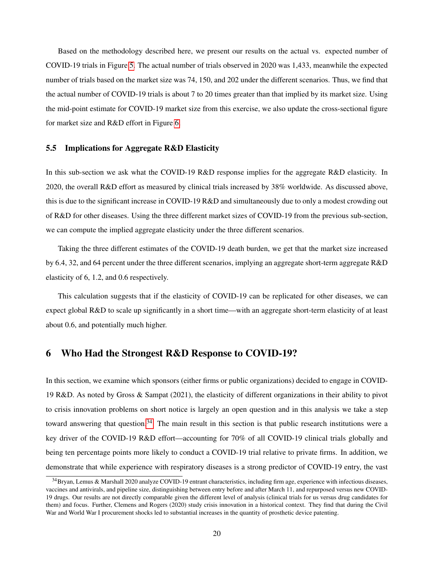Based on the methodology described here, we present our results on the actual vs. expected number of COVID-19 trials in Figure [5.](#page-37-0) The actual number of trials observed in 2020 was 1,433, meanwhile the expected number of trials based on the market size was 74, 150, and 202 under the different scenarios. Thus, we find that the actual number of COVID-19 trials is about 7 to 20 times greater than that implied by its market size. Using the mid-point estimate for COVID-19 market size from this exercise, we also update the cross-sectional figure for market size and R&D effort in Figure [6.](#page-38-0)

#### 5.5 Implications for Aggregate R&D Elasticity

In this sub-section we ask what the COVID-19 R&D response implies for the aggregate R&D elasticity. In 2020, the overall R&D effort as measured by clinical trials increased by 38% worldwide. As discussed above, this is due to the significant increase in COVID-19 R&D and simultaneously due to only a modest crowding out of R&D for other diseases. Using the three different market sizes of COVID-19 from the previous sub-section, we can compute the implied aggregate elasticity under the three different scenarios.

Taking the three different estimates of the COVID-19 death burden, we get that the market size increased by 6.4, 32, and 64 percent under the three different scenarios, implying an aggregate short-term aggregate R&D elasticity of 6, 1.2, and 0.6 respectively.

This calculation suggests that if the elasticity of COVID-19 can be replicated for other diseases, we can expect global R&D to scale up significantly in a short time—with an aggregate short-term elasticity of at least about 0.6, and potentially much higher.

## 6 Who Had the Strongest R&D Response to COVID-19?

In this section, we examine which sponsors (either firms or public organizations) decided to engage in COVID-19 R&D. As noted by Gross & Sampat (2021), the elasticity of different organizations in their ability to pivot to crisis innovation problems on short notice is largely an open question and in this analysis we take a step toward answering that question.<sup>[34](#page-21-0)</sup> The main result in this section is that public research institutions were a key driver of the COVID-19 R&D effort—accounting for 70% of all COVID-19 clinical trials globally and being ten percentage points more likely to conduct a COVID-19 trial relative to private firms. In addition, we demonstrate that while experience with respiratory diseases is a strong predictor of COVID-19 entry, the vast

<span id="page-21-0"></span><sup>34</sup>Bryan, Lemus & Marshall 2020 analyze COVID-19 entrant characteristics, including firm age, experience with infectious diseases, vaccines and antivirals, and pipeline size, distinguishing between entry before and after March 11, and repurposed versus new COVID-19 drugs. Our results are not directly comparable given the different level of analysis (clinical trials for us versus drug candidates for them) and focus. Further, Clemens and Rogers (2020) study crisis innovation in a historical context. They find that during the Civil War and World War I procurement shocks led to substantial increases in the quantity of prosthetic device patenting.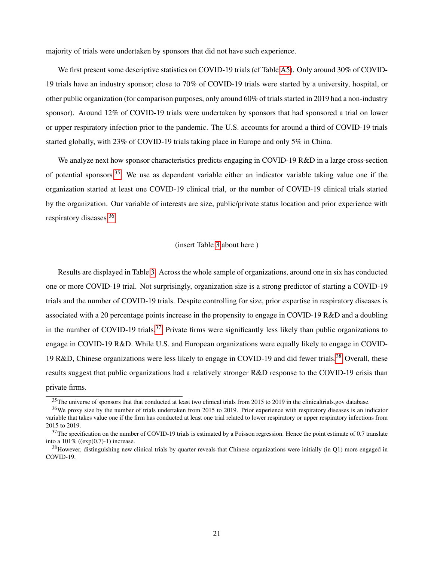majority of trials were undertaken by sponsors that did not have such experience.

We first present some descriptive statistics on COVID-19 trials (cf Table [A5\)](#page-48-1). Only around 30% of COVID-19 trials have an industry sponsor; close to 70% of COVID-19 trials were started by a university, hospital, or other public organization (for comparison purposes, only around 60% of trials started in 2019 had a non-industry sponsor). Around 12% of COVID-19 trials were undertaken by sponsors that had sponsored a trial on lower or upper respiratory infection prior to the pandemic. The U.S. accounts for around a third of COVID-19 trials started globally, with 23% of COVID-19 trials taking place in Europe and only 5% in China.

We analyze next how sponsor characteristics predicts engaging in COVID-19 R&D in a large cross-section of potential sponsors.[35](#page-22-0) We use as dependent variable either an indicator variable taking value one if the organization started at least one COVID-19 clinical trial, or the number of COVID-19 clinical trials started by the organization. Our variable of interests are size, public/private status location and prior experience with respiratory diseases.[36](#page-22-1)

#### (insert Table [3](#page-41-0) about here )

Results are displayed in Table [3.](#page-41-0) Across the whole sample of organizations, around one in six has conducted one or more COVID-19 trial. Not surprisingly, organization size is a strong predictor of starting a COVID-19 trials and the number of COVID-19 trials. Despite controlling for size, prior expertise in respiratory diseases is associated with a 20 percentage points increase in the propensity to engage in COVID-19 R&D and a doubling in the number of COVID-19 trials.<sup>[37](#page-22-2)</sup> Private firms were significantly less likely than public organizations to engage in COVID-19 R&D. While U.S. and European organizations were equally likely to engage in COVID-19 R&D, Chinese organizations were less likely to engage in COVID-19 and did fewer trials.[38](#page-22-3) Overall, these results suggest that public organizations had a relatively stronger R&D response to the COVID-19 crisis than private firms.

<span id="page-22-1"></span><span id="page-22-0"></span> $35$ The universe of sponsors that that conducted at least two clinical trials from 2015 to 2019 in the clinicaltrials.gov database.

<sup>&</sup>lt;sup>36</sup>We proxy size by the number of trials undertaken from 2015 to 2019. Prior experience with respiratory diseases is an indicator variable that takes value one if the firm has conducted at least one trial related to lower respiratory or upper respiratory infections from 2015 to 2019.

<span id="page-22-2"></span> $37$ The specification on the number of COVID-19 trials is estimated by a Poisson regression. Hence the point estimate of 0.7 translate into a  $101\%$  ((exp(0.7)-1) increase.

<span id="page-22-3"></span> $38$  However, distinguishing new clinical trials by quarter reveals that Chinese organizations were initially (in Q1) more engaged in COVID-19.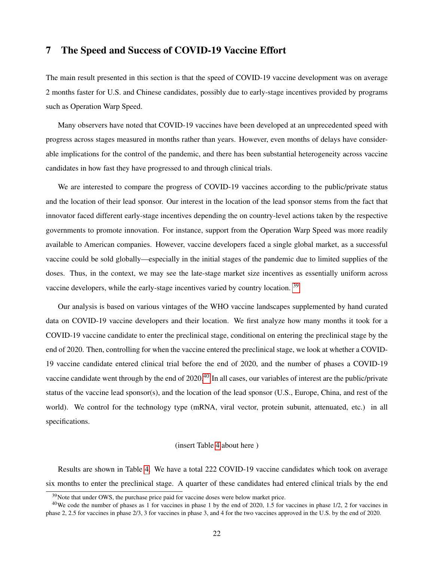## 7 The Speed and Success of COVID-19 Vaccine Effort

The main result presented in this section is that the speed of COVID-19 vaccine development was on average 2 months faster for U.S. and Chinese candidates, possibly due to early-stage incentives provided by programs such as Operation Warp Speed.

Many observers have noted that COVID-19 vaccines have been developed at an unprecedented speed with progress across stages measured in months rather than years. However, even months of delays have considerable implications for the control of the pandemic, and there has been substantial heterogeneity across vaccine candidates in how fast they have progressed to and through clinical trials.

We are interested to compare the progress of COVID-19 vaccines according to the public/private status and the location of their lead sponsor. Our interest in the location of the lead sponsor stems from the fact that innovator faced different early-stage incentives depending the on country-level actions taken by the respective governments to promote innovation. For instance, support from the Operation Warp Speed was more readily available to American companies. However, vaccine developers faced a single global market, as a successful vaccine could be sold globally—especially in the initial stages of the pandemic due to limited supplies of the doses. Thus, in the context, we may see the late-stage market size incentives as essentially uniform across vaccine developers, while the early-stage incentives varied by country location. <sup>[39](#page-23-0)</sup>

Our analysis is based on various vintages of the WHO vaccine landscapes supplemented by hand curated data on COVID-19 vaccine developers and their location. We first analyze how many months it took for a COVID-19 vaccine candidate to enter the preclinical stage, conditional on entering the preclinical stage by the end of 2020. Then, controlling for when the vaccine entered the preclinical stage, we look at whether a COVID-19 vaccine candidate entered clinical trial before the end of 2020, and the number of phases a COVID-19 vaccine candidate went through by the end of  $2020^{40}$  $2020^{40}$  $2020^{40}$  In all cases, our variables of interest are the public/private status of the vaccine lead sponsor(s), and the location of the lead sponsor (U.S., Europe, China, and rest of the world). We control for the technology type (mRNA, viral vector, protein subunit, attenuated, etc.) in all specifications.

#### (insert Table [4](#page-42-0) about here )

Results are shown in Table [4.](#page-42-0) We have a total 222 COVID-19 vaccine candidates which took on average six months to enter the preclinical stage. A quarter of these candidates had entered clinical trials by the end

<span id="page-23-1"></span><span id="page-23-0"></span> $39$ Note that under OWS, the purchase price paid for vaccine doses were below market price.

<sup>&</sup>lt;sup>40</sup>We code the number of phases as 1 for vaccines in phase 1 by the end of 2020, 1.5 for vaccines in phase  $1/2$ , 2 for vaccines in phase 2, 2.5 for vaccines in phase 2/3, 3 for vaccines in phase 3, and 4 for the two vaccines approved in the U.S. by the end of 2020.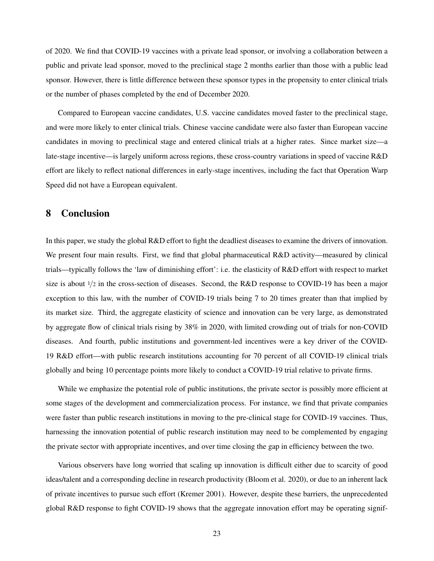of 2020. We find that COVID-19 vaccines with a private lead sponsor, or involving a collaboration between a public and private lead sponsor, moved to the preclinical stage 2 months earlier than those with a public lead sponsor. However, there is little difference between these sponsor types in the propensity to enter clinical trials or the number of phases completed by the end of December 2020.

Compared to European vaccine candidates, U.S. vaccine candidates moved faster to the preclinical stage, and were more likely to enter clinical trials. Chinese vaccine candidate were also faster than European vaccine candidates in moving to preclinical stage and entered clinical trials at a higher rates. Since market size—a late-stage incentive—is largely uniform across regions, these cross-country variations in speed of vaccine R&D effort are likely to reflect national differences in early-stage incentives, including the fact that Operation Warp Speed did not have a European equivalent.

## 8 Conclusion

In this paper, we study the global R&D effort to fight the deadliest diseases to examine the drivers of innovation. We present four main results. First, we find that global pharmaceutical R&D activity—measured by clinical trials—typically follows the 'law of diminishing effort': i.e. the elasticity of R&D effort with respect to market size is about  $1/2$  in the cross-section of diseases. Second, the R&D response to COVID-19 has been a major exception to this law, with the number of COVID-19 trials being 7 to 20 times greater than that implied by its market size. Third, the aggregate elasticity of science and innovation can be very large, as demonstrated by aggregate flow of clinical trials rising by 38% in 2020, with limited crowding out of trials for non-COVID diseases. And fourth, public institutions and government-led incentives were a key driver of the COVID-19 R&D effort—with public research institutions accounting for 70 percent of all COVID-19 clinical trials globally and being 10 percentage points more likely to conduct a COVID-19 trial relative to private firms.

While we emphasize the potential role of public institutions, the private sector is possibly more efficient at some stages of the development and commercialization process. For instance, we find that private companies were faster than public research institutions in moving to the pre-clinical stage for COVID-19 vaccines. Thus, harnessing the innovation potential of public research institution may need to be complemented by engaging the private sector with appropriate incentives, and over time closing the gap in efficiency between the two.

Various observers have long worried that scaling up innovation is difficult either due to scarcity of good ideas/talent and a corresponding decline in research productivity (Bloom et al. 2020), or due to an inherent lack of private incentives to pursue such effort (Kremer 2001). However, despite these barriers, the unprecedented global R&D response to fight COVID-19 shows that the aggregate innovation effort may be operating signif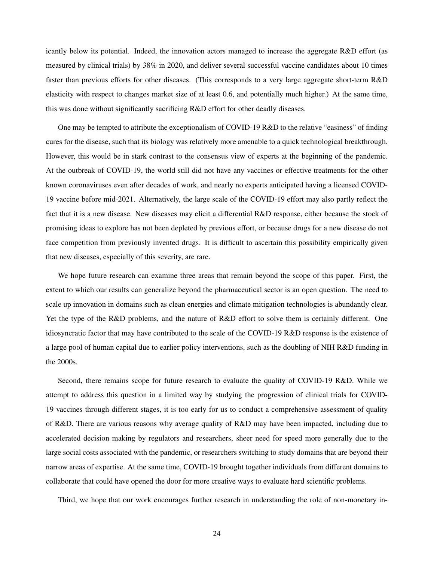icantly below its potential. Indeed, the innovation actors managed to increase the aggregate R&D effort (as measured by clinical trials) by 38% in 2020, and deliver several successful vaccine candidates about 10 times faster than previous efforts for other diseases. (This corresponds to a very large aggregate short-term R&D elasticity with respect to changes market size of at least 0.6, and potentially much higher.) At the same time, this was done without significantly sacrificing R&D effort for other deadly diseases.

One may be tempted to attribute the exceptionalism of COVID-19 R&D to the relative "easiness" of finding cures for the disease, such that its biology was relatively more amenable to a quick technological breakthrough. However, this would be in stark contrast to the consensus view of experts at the beginning of the pandemic. At the outbreak of COVID-19, the world still did not have any vaccines or effective treatments for the other known coronaviruses even after decades of work, and nearly no experts anticipated having a licensed COVID-19 vaccine before mid-2021. Alternatively, the large scale of the COVID-19 effort may also partly reflect the fact that it is a new disease. New diseases may elicit a differential R&D response, either because the stock of promising ideas to explore has not been depleted by previous effort, or because drugs for a new disease do not face competition from previously invented drugs. It is difficult to ascertain this possibility empirically given that new diseases, especially of this severity, are rare.

We hope future research can examine three areas that remain beyond the scope of this paper. First, the extent to which our results can generalize beyond the pharmaceutical sector is an open question. The need to scale up innovation in domains such as clean energies and climate mitigation technologies is abundantly clear. Yet the type of the R&D problems, and the nature of R&D effort to solve them is certainly different. One idiosyncratic factor that may have contributed to the scale of the COVID-19 R&D response is the existence of a large pool of human capital due to earlier policy interventions, such as the doubling of NIH R&D funding in the 2000s.

Second, there remains scope for future research to evaluate the quality of COVID-19 R&D. While we attempt to address this question in a limited way by studying the progression of clinical trials for COVID-19 vaccines through different stages, it is too early for us to conduct a comprehensive assessment of quality of R&D. There are various reasons why average quality of R&D may have been impacted, including due to accelerated decision making by regulators and researchers, sheer need for speed more generally due to the large social costs associated with the pandemic, or researchers switching to study domains that are beyond their narrow areas of expertise. At the same time, COVID-19 brought together individuals from different domains to collaborate that could have opened the door for more creative ways to evaluate hard scientific problems.

Third, we hope that our work encourages further research in understanding the role of non-monetary in-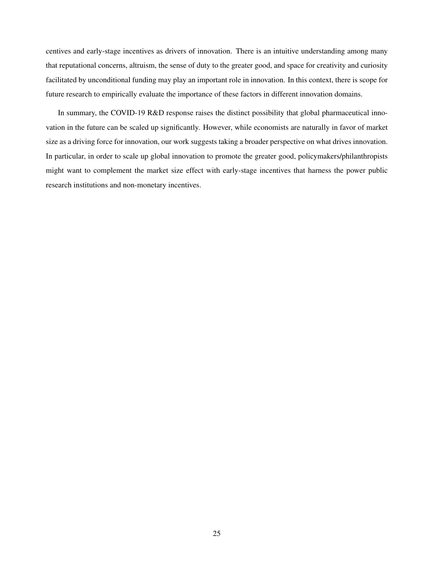centives and early-stage incentives as drivers of innovation. There is an intuitive understanding among many that reputational concerns, altruism, the sense of duty to the greater good, and space for creativity and curiosity facilitated by unconditional funding may play an important role in innovation. In this context, there is scope for future research to empirically evaluate the importance of these factors in different innovation domains.

In summary, the COVID-19 R&D response raises the distinct possibility that global pharmaceutical innovation in the future can be scaled up significantly. However, while economists are naturally in favor of market size as a driving force for innovation, our work suggests taking a broader perspective on what drives innovation. In particular, in order to scale up global innovation to promote the greater good, policymakers/philanthropists might want to complement the market size effect with early-stage incentives that harness the power public research institutions and non-monetary incentives.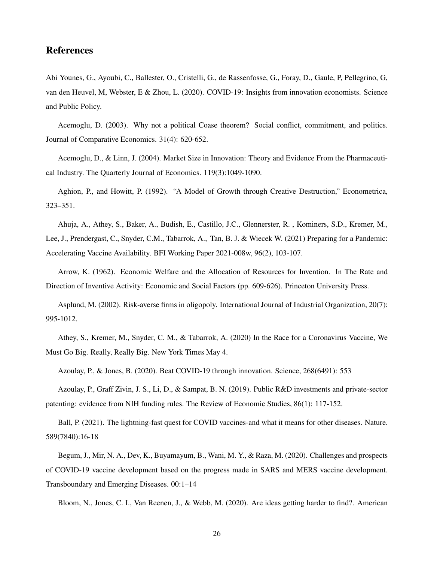## References

Abi Younes, G., Ayoubi, C., Ballester, O., Cristelli, G., de Rassenfosse, G., Foray, D., Gaule, P, Pellegrino, G, van den Heuvel, M, Webster, E & Zhou, L. (2020). COVID-19: Insights from innovation economists. Science and Public Policy.

Acemoglu, D. (2003). Why not a political Coase theorem? Social conflict, commitment, and politics. Journal of Comparative Economics. 31(4): 620-652.

Acemoglu, D., & Linn, J. (2004). Market Size in Innovation: Theory and Evidence From the Pharmaceutical Industry. The Quarterly Journal of Economics. 119(3):1049-1090.

Aghion, P., and Howitt, P. (1992). "A Model of Growth through Creative Destruction," Econometrica, 323–351.

Ahuja, A., Athey, S., Baker, A., Budish, E., Castillo, J.C., Glennerster, R. , Kominers, S.D., Kremer, M., Lee, J., Prendergast, C., Snyder, C.M., Tabarrok, A., Tan, B. J. & Wiecek W. (2021) Preparing for a Pandemic: Accelerating Vaccine Availability. BFI Working Paper 2021-008w, 96(2), 103-107.

Arrow, K. (1962). Economic Welfare and the Allocation of Resources for Invention. In The Rate and Direction of Inventive Activity: Economic and Social Factors (pp. 609-626). Princeton University Press.

Asplund, M. (2002). Risk-averse firms in oligopoly. International Journal of Industrial Organization, 20(7): 995-1012.

Athey, S., Kremer, M., Snyder, C. M., & Tabarrok, A. (2020) In the Race for a Coronavirus Vaccine, We Must Go Big. Really, Really Big. New York Times May 4.

Azoulay, P., & Jones, B. (2020). Beat COVID-19 through innovation. Science, 268(6491): 553

Azoulay, P., Graff Zivin, J. S., Li, D., & Sampat, B. N. (2019). Public R&D investments and private-sector patenting: evidence from NIH funding rules. The Review of Economic Studies, 86(1): 117-152.

Ball, P. (2021). The lightning-fast quest for COVID vaccines-and what it means for other diseases. Nature. 589(7840):16-18

Begum, J., Mir, N. A., Dev, K., Buyamayum, B., Wani, M. Y., & Raza, M. (2020). Challenges and prospects of COVID-19 vaccine development based on the progress made in SARS and MERS vaccine development. Transboundary and Emerging Diseases. 00:1–14

Bloom, N., Jones, C. I., Van Reenen, J., & Webb, M. (2020). Are ideas getting harder to find?. American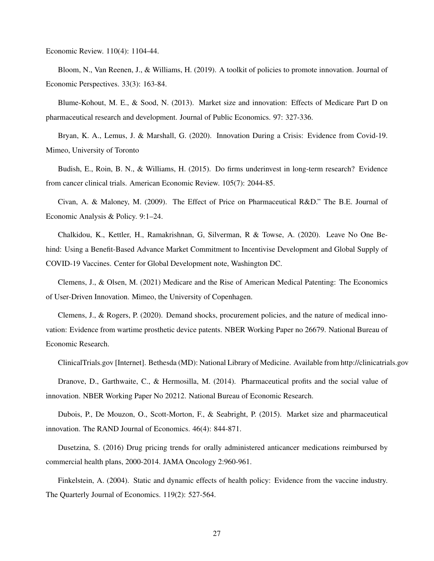Economic Review. 110(4): 1104-44.

Bloom, N., Van Reenen, J., & Williams, H. (2019). A toolkit of policies to promote innovation. Journal of Economic Perspectives. 33(3): 163-84.

Blume-Kohout, M. E., & Sood, N. (2013). Market size and innovation: Effects of Medicare Part D on pharmaceutical research and development. Journal of Public Economics. 97: 327-336.

Bryan, K. A., Lemus, J. & Marshall, G. (2020). Innovation During a Crisis: Evidence from Covid-19. Mimeo, University of Toronto

Budish, E., Roin, B. N., & Williams, H. (2015). Do firms underinvest in long-term research? Evidence from cancer clinical trials. American Economic Review. 105(7): 2044-85.

Civan, A. & Maloney, M. (2009). The Effect of Price on Pharmaceutical R&D." The B.E. Journal of Economic Analysis & Policy. 9:1–24.

Chalkidou, K., Kettler, H., Ramakrishnan, G, Silverman, R & Towse, A. (2020). Leave No One Behind: Using a Benefit-Based Advance Market Commitment to Incentivise Development and Global Supply of COVID-19 Vaccines. Center for Global Development note, Washington DC.

Clemens, J., & Olsen, M. (2021) Medicare and the Rise of American Medical Patenting: The Economics of User-Driven Innovation. Mimeo, the University of Copenhagen.

Clemens, J., & Rogers, P. (2020). Demand shocks, procurement policies, and the nature of medical innovation: Evidence from wartime prosthetic device patents. NBER Working Paper no 26679. National Bureau of Economic Research.

ClinicalTrials.gov [Internet]. Bethesda (MD): National Library of Medicine. Available from http://clinicatrials.gov

Dranove, D., Garthwaite, C., & Hermosilla, M. (2014). Pharmaceutical profits and the social value of innovation. NBER Working Paper No 20212. National Bureau of Economic Research.

Dubois, P., De Mouzon, O., Scott-Morton, F., & Seabright, P. (2015). Market size and pharmaceutical innovation. The RAND Journal of Economics. 46(4): 844-871.

Dusetzina, S. (2016) Drug pricing trends for orally administered anticancer medications reimbursed by commercial health plans, 2000-2014. JAMA Oncology 2:960-961.

Finkelstein, A. (2004). Static and dynamic effects of health policy: Evidence from the vaccine industry. The Quarterly Journal of Economics. 119(2): 527-564.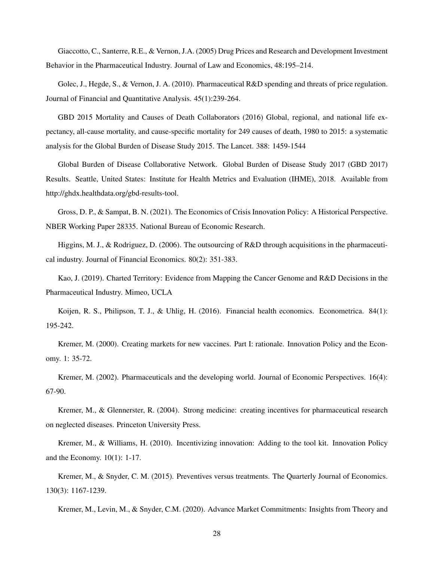Giaccotto, C., Santerre, R.E., & Vernon, J.A. (2005) Drug Prices and Research and Development Investment Behavior in the Pharmaceutical Industry. Journal of Law and Economics, 48:195–214.

Golec, J., Hegde, S., & Vernon, J. A. (2010). Pharmaceutical R&D spending and threats of price regulation. Journal of Financial and Quantitative Analysis. 45(1):239-264.

GBD 2015 Mortality and Causes of Death Collaborators (2016) Global, regional, and national life expectancy, all-cause mortality, and cause-specific mortality for 249 causes of death, 1980 to 2015: a systematic analysis for the Global Burden of Disease Study 2015. The Lancet. 388: 1459-1544

Global Burden of Disease Collaborative Network. Global Burden of Disease Study 2017 (GBD 2017) Results. Seattle, United States: Institute for Health Metrics and Evaluation (IHME), 2018. Available from http://ghdx.healthdata.org/gbd-results-tool.

Gross, D. P., & Sampat, B. N. (2021). The Economics of Crisis Innovation Policy: A Historical Perspective. NBER Working Paper 28335. National Bureau of Economic Research.

Higgins, M. J., & Rodriguez, D. (2006). The outsourcing of R&D through acquisitions in the pharmaceutical industry. Journal of Financial Economics. 80(2): 351-383.

Kao, J. (2019). Charted Territory: Evidence from Mapping the Cancer Genome and R&D Decisions in the Pharmaceutical Industry. Mimeo, UCLA

Koijen, R. S., Philipson, T. J., & Uhlig, H. (2016). Financial health economics. Econometrica. 84(1): 195-242.

Kremer, M. (2000). Creating markets for new vaccines. Part I: rationale. Innovation Policy and the Economy. 1: 35-72.

Kremer, M. (2002). Pharmaceuticals and the developing world. Journal of Economic Perspectives. 16(4): 67-90.

Kremer, M., & Glennerster, R. (2004). Strong medicine: creating incentives for pharmaceutical research on neglected diseases. Princeton University Press.

Kremer, M., & Williams, H. (2010). Incentivizing innovation: Adding to the tool kit. Innovation Policy and the Economy. 10(1): 1-17.

Kremer, M., & Snyder, C. M. (2015). Preventives versus treatments. The Quarterly Journal of Economics. 130(3): 1167-1239.

Kremer, M., Levin, M., & Snyder, C.M. (2020). Advance Market Commitments: Insights from Theory and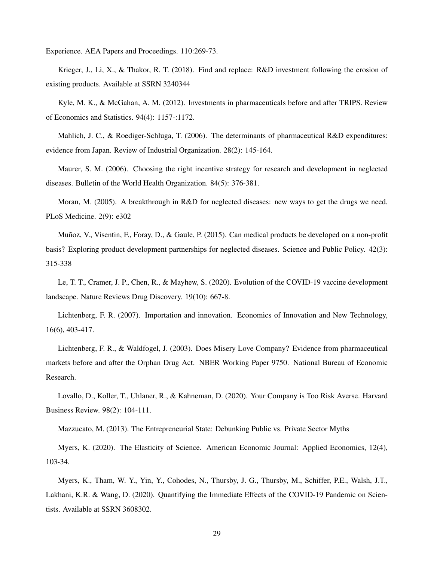Experience. AEA Papers and Proceedings. 110:269-73.

Krieger, J., Li, X., & Thakor, R. T. (2018). Find and replace: R&D investment following the erosion of existing products. Available at SSRN 3240344

Kyle, M. K., & McGahan, A. M. (2012). Investments in pharmaceuticals before and after TRIPS. Review of Economics and Statistics. 94(4): 1157-:1172.

Mahlich, J. C., & Roediger-Schluga, T. (2006). The determinants of pharmaceutical R&D expenditures: evidence from Japan. Review of Industrial Organization. 28(2): 145-164.

Maurer, S. M. (2006). Choosing the right incentive strategy for research and development in neglected diseases. Bulletin of the World Health Organization. 84(5): 376-381.

Moran, M. (2005). A breakthrough in R&D for neglected diseases: new ways to get the drugs we need. PLoS Medicine. 2(9): e302

Muñoz, V., Visentin, F., Foray, D., & Gaule, P. (2015). Can medical products be developed on a non-profit basis? Exploring product development partnerships for neglected diseases. Science and Public Policy. 42(3): 315-338

Le, T. T., Cramer, J. P., Chen, R., & Mayhew, S. (2020). Evolution of the COVID-19 vaccine development landscape. Nature Reviews Drug Discovery. 19(10): 667-8.

Lichtenberg, F. R. (2007). Importation and innovation. Economics of Innovation and New Technology, 16(6), 403-417.

Lichtenberg, F. R., & Waldfogel, J. (2003). Does Misery Love Company? Evidence from pharmaceutical markets before and after the Orphan Drug Act. NBER Working Paper 9750. National Bureau of Economic Research.

Lovallo, D., Koller, T., Uhlaner, R., & Kahneman, D. (2020). Your Company is Too Risk Averse. Harvard Business Review. 98(2): 104-111.

Mazzucato, M. (2013). The Entrepreneurial State: Debunking Public vs. Private Sector Myths

Myers, K. (2020). The Elasticity of Science. American Economic Journal: Applied Economics, 12(4), 103-34.

Myers, K., Tham, W. Y., Yin, Y., Cohodes, N., Thursby, J. G., Thursby, M., Schiffer, P.E., Walsh, J.T., Lakhani, K.R. & Wang, D. (2020). Quantifying the Immediate Effects of the COVID-19 Pandemic on Scientists. Available at SSRN 3608302.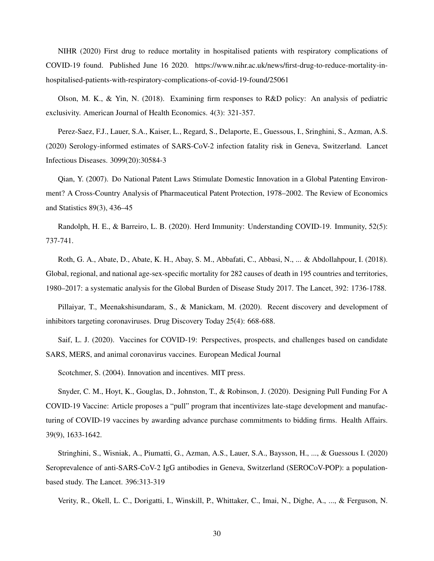NIHR (2020) First drug to reduce mortality in hospitalised patients with respiratory complications of COVID-19 found. Published June 16 2020. https://www.nihr.ac.uk/news/first-drug-to-reduce-mortality-inhospitalised-patients-with-respiratory-complications-of-covid-19-found/25061

Olson, M. K., & Yin, N. (2018). Examining firm responses to R&D policy: An analysis of pediatric exclusivity. American Journal of Health Economics. 4(3): 321-357.

Perez-Saez, F.J., Lauer, S.A., Kaiser, L., Regard, S., Delaporte, E., Guessous, I., Sringhini, S., Azman, A.S. (2020) Serology-informed estimates of SARS-CoV-2 infection fatality risk in Geneva, Switzerland. Lancet Infectious Diseases. 3099(20):30584-3

Qian, Y. (2007). Do National Patent Laws Stimulate Domestic Innovation in a Global Patenting Environment? A Cross-Country Analysis of Pharmaceutical Patent Protection, 1978–2002. The Review of Economics and Statistics 89(3), 436–45

Randolph, H. E., & Barreiro, L. B. (2020). Herd Immunity: Understanding COVID-19. Immunity, 52(5): 737-741.

Roth, G. A., Abate, D., Abate, K. H., Abay, S. M., Abbafati, C., Abbasi, N., ... & Abdollahpour, I. (2018). Global, regional, and national age-sex-specific mortality for 282 causes of death in 195 countries and territories, 1980–2017: a systematic analysis for the Global Burden of Disease Study 2017. The Lancet, 392: 1736-1788.

Pillaiyar, T., Meenakshisundaram, S., & Manickam, M. (2020). Recent discovery and development of inhibitors targeting coronaviruses. Drug Discovery Today 25(4): 668-688.

Saif, L. J. (2020). Vaccines for COVID-19: Perspectives, prospects, and challenges based on candidate SARS, MERS, and animal coronavirus vaccines. European Medical Journal

Scotchmer, S. (2004). Innovation and incentives. MIT press.

Snyder, C. M., Hoyt, K., Gouglas, D., Johnston, T., & Robinson, J. (2020). Designing Pull Funding For A COVID-19 Vaccine: Article proposes a "pull" program that incentivizes late-stage development and manufacturing of COVID-19 vaccines by awarding advance purchase commitments to bidding firms. Health Affairs. 39(9), 1633-1642.

Stringhini, S., Wisniak, A., Piumatti, G., Azman, A.S., Lauer, S.A., Baysson, H., ..., & Guessous I. (2020) Seroprevalence of anti-SARS-CoV-2 IgG antibodies in Geneva, Switzerland (SEROCoV-POP): a populationbased study. The Lancet. 396:313-319

Verity, R., Okell, L. C., Dorigatti, I., Winskill, P., Whittaker, C., Imai, N., Dighe, A., ..., & Ferguson, N.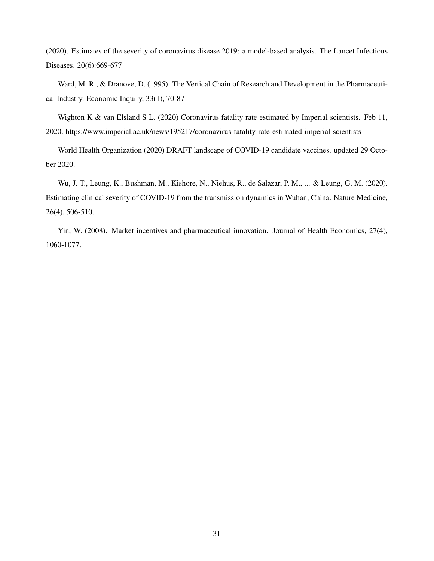(2020). Estimates of the severity of coronavirus disease 2019: a model-based analysis. The Lancet Infectious Diseases. 20(6):669-677

Ward, M. R., & Dranove, D. (1995). The Vertical Chain of Research and Development in the Pharmaceutical Industry. Economic Inquiry, 33(1), 70-87

Wighton K & van Elsland S L. (2020) Coronavirus fatality rate estimated by Imperial scientists. Feb 11, 2020. https://www.imperial.ac.uk/news/195217/coronavirus-fatality-rate-estimated-imperial-scientists

World Health Organization (2020) DRAFT landscape of COVID-19 candidate vaccines. updated 29 October 2020.

Wu, J. T., Leung, K., Bushman, M., Kishore, N., Niehus, R., de Salazar, P. M., ... & Leung, G. M. (2020). Estimating clinical severity of COVID-19 from the transmission dynamics in Wuhan, China. Nature Medicine, 26(4), 506-510.

Yin, W. (2008). Market incentives and pharmaceutical innovation. Journal of Health Economics, 27(4), 1060-1077.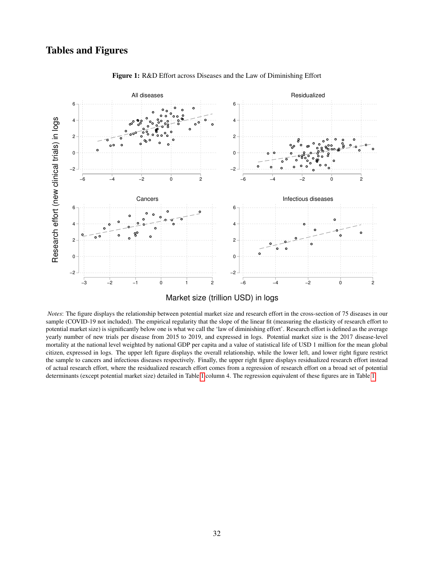## Tables and Figures

<span id="page-33-0"></span>

Figure 1: R&D Effort across Diseases and the Law of Diminishing Effort

*Notes*: The figure displays the relationship between potential market size and research effort in the cross-section of 75 diseases in our sample (COVID-19 not included). The empirical regularity that the slope of the linear fit (measuring the elasticity of research effort to potential market size) is significantly below one is what we call the 'law of diminishing effort'. Research effort is defined as the average yearly number of new trials per disease from 2015 to 2019, and expressed in logs. Potential market size is the 2017 disease-level mortality at the national level weighted by national GDP per capita and a value of statistical life of USD 1 million for the mean global citizen, expressed in logs. The upper left figure displays the overall relationship, while the lower left, and lower right figure restrict the sample to cancers and infectious diseases respectively. Finally, the upper right figure displays residualized research effort instead of actual research effort, where the residualized research effort comes from a regression of research effort on a broad set of potential determinants (except potential market size) detailed in Table [1](#page-39-0) column 4. The regression equivalent of these figures are in Table [1.](#page-39-0)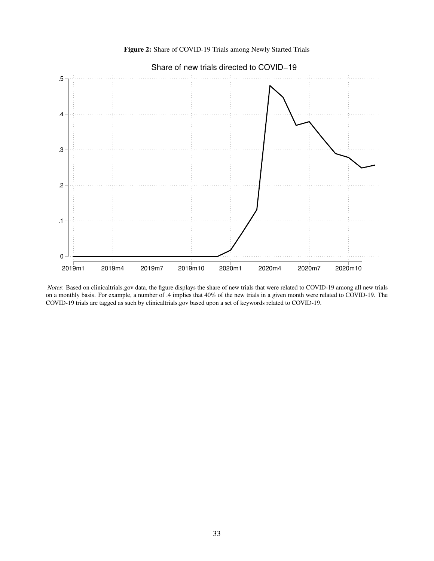Figure 2: Share of COVID-19 Trials among Newly Started Trials

<span id="page-34-0"></span>

*Notes*: Based on clinicaltrials.gov data, the figure displays the share of new trials that were related to COVID-19 among all new trials on a monthly basis. For example, a number of .4 implies that 40% of the new trials in a given month were related to COVID-19. The COVID-19 trials are tagged as such by clinicaltrials.gov based upon a set of keywords related to COVID-19.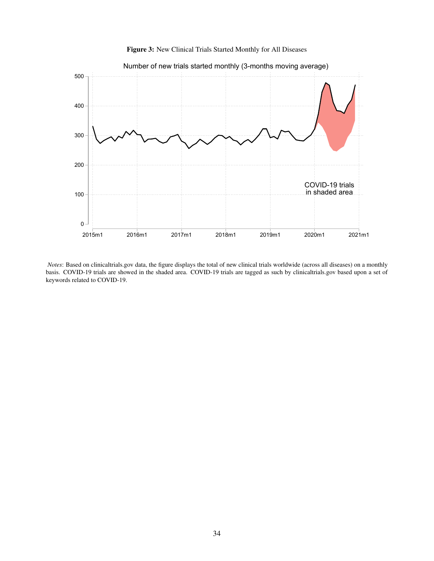

<span id="page-35-0"></span>

*Notes*: Based on clinicaltrials.gov data, the figure displays the total of new clinical trials worldwide (across all diseases) on a monthly basis. COVID-19 trials are showed in the shaded area. COVID-19 trials are tagged as such by clinicaltrials.gov based upon a set of keywords related to COVID-19.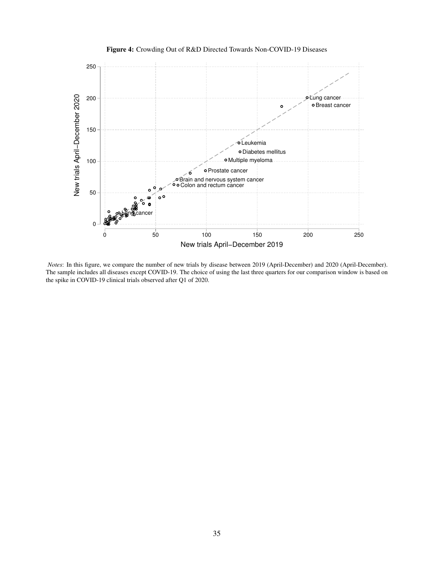<span id="page-36-0"></span>

Figure 4: Crowding Out of R&D Directed Towards Non-COVID-19 Diseases

*Notes*: In this figure, we compare the number of new trials by disease between 2019 (April-December) and 2020 (April-December). The sample includes all diseases except COVID-19. The choice of using the last three quarters for our comparison window is based on the spike in COVID-19 clinical trials observed after Q1 of 2020.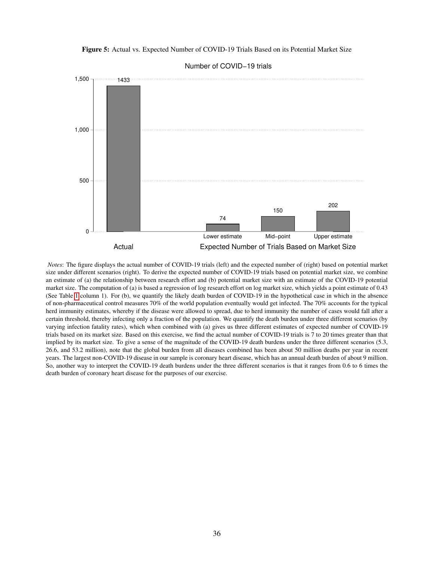<span id="page-37-0"></span>Figure 5: Actual vs. Expected Number of COVID-19 Trials Based on its Potential Market Size



Number of COVID−19 trials

*Notes*: The figure displays the actual number of COVID-19 trials (left) and the expected number of (right) based on potential market size under different scenarios (right). To derive the expected number of COVID-19 trials based on potential market size, we combine an estimate of (a) the relationship between research effort and (b) potential market size with an estimate of the COVID-19 potential market size. The computation of (a) is based a regression of log research effort on log market size, which yields a point estimate of 0.43 (See Table [1](#page-39-0) column 1). For (b), we quantify the likely death burden of COVID-19 in the hypothetical case in which in the absence of non-pharmaceutical control measures 70% of the world population eventually would get infected. The 70% accounts for the typical herd immunity estimates, whereby if the disease were allowed to spread, due to herd immunity the number of cases would fall after a certain threshold, thereby infecting only a fraction of the population. We quantify the death burden under three different scenarios (by varying infection fatality rates), which when combined with (a) gives us three different estimates of expected number of COVID-19 trials based on its market size. Based on this exercise, we find the actual number of COVID-19 trials is 7 to 20 times greater than that implied by its market size. To give a sense of the magnitude of the COVID-19 death burdens under the three different scenarios (5.3, 26.6, and 53.2 million), note that the global burden from all diseases combined has been about 50 million deaths per year in recent years. The largest non-COVID-19 disease in our sample is coronary heart disease, which has an annual death burden of about 9 million. So, another way to interpret the COVID-19 death burdens under the three different scenarios is that it ranges from 0.6 to 6 times the death burden of coronary heart disease for the purposes of our exercise.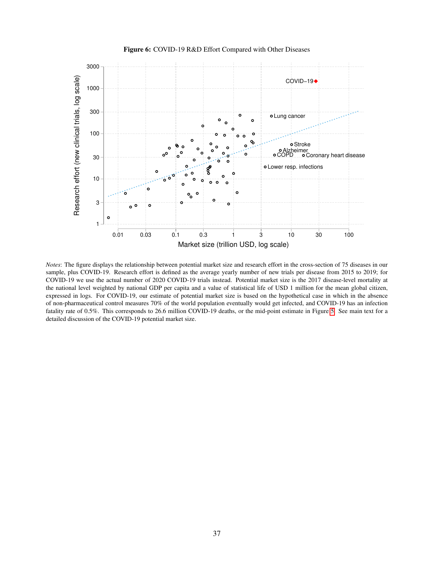<span id="page-38-0"></span>

Figure 6: COVID-19 R&D Effort Compared with Other Diseases

*Notes*: The figure displays the relationship between potential market size and research effort in the cross-section of 75 diseases in our sample, plus COVID-19. Research effort is defined as the average yearly number of new trials per disease from 2015 to 2019; for COVID-19 we use the actual number of 2020 COVID-19 trials instead. Potential market size is the 2017 disease-level mortality at the national level weighted by national GDP per capita and a value of statistical life of USD 1 million for the mean global citizen, expressed in logs. For COVID-19, our estimate of potential market size is based on the hypothetical case in which in the absence of non-pharmaceutical control measures 70% of the world population eventually would get infected, and COVID-19 has an infection fatality rate of 0.5%. This corresponds to 26.6 million COVID-19 deaths, or the mid-point estimate in Figure [5.](#page-37-0) See main text for a detailed discussion of the COVID-19 potential market size.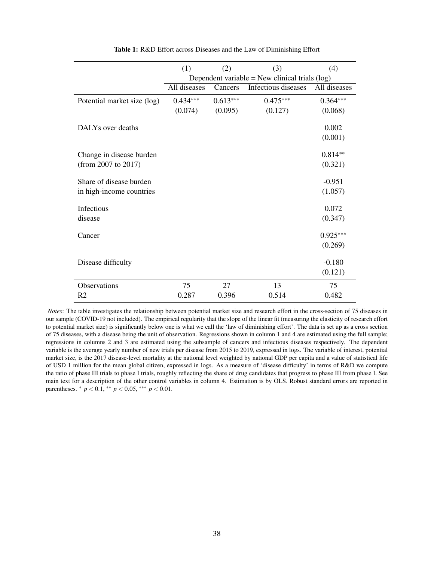<span id="page-39-0"></span>

|                             | (1)                                              | (2)        | (3)                 | (4)          |  |  |
|-----------------------------|--------------------------------------------------|------------|---------------------|--------------|--|--|
|                             | Dependent variable = New clinical trials $(log)$ |            |                     |              |  |  |
|                             | All diseases                                     | Cancers    | Infectious diseases | All diseases |  |  |
| Potential market size (log) | $0.434***$                                       | $0.613***$ | $0.475***$          | $0.364***$   |  |  |
|                             | (0.074)                                          | (0.095)    | (0.127)             | (0.068)      |  |  |
| DALYs over deaths           |                                                  |            |                     | 0.002        |  |  |
|                             |                                                  |            |                     | (0.001)      |  |  |
| Change in disease burden    |                                                  |            |                     | $0.814**$    |  |  |
| (from 2007 to 2017)         |                                                  |            |                     | (0.321)      |  |  |
| Share of disease burden     |                                                  |            |                     | $-0.951$     |  |  |
| in high-income countries    |                                                  |            |                     | (1.057)      |  |  |
| Infectious                  |                                                  |            |                     | 0.072        |  |  |
| disease                     |                                                  |            |                     | (0.347)      |  |  |
| Cancer                      |                                                  |            |                     | $0.925***$   |  |  |
|                             |                                                  |            |                     | (0.269)      |  |  |
| Disease difficulty          |                                                  |            |                     | $-0.180$     |  |  |
|                             |                                                  |            |                     | (0.121)      |  |  |
| <b>Observations</b>         | 75                                               | 27         | 13                  | 75           |  |  |
| R <sub>2</sub>              | 0.287                                            | 0.396      | 0.514               | 0.482        |  |  |

Table 1: R&D Effort across Diseases and the Law of Diminishing Effort

*Notes*: The table investigates the relationship between potential market size and research effort in the cross-section of 75 diseases in our sample (COVID-19 not included). The empirical regularity that the slope of the linear fit (measuring the elasticity of research effort to potential market size) is significantly below one is what we call the 'law of diminishing effort'. The data is set up as a cross section of 75 diseases, with a disease being the unit of observation. Regressions shown in column 1 and 4 are estimated using the full sample; regressions in columns 2 and 3 are estimated using the subsample of cancers and infectious diseases respectively. The dependent variable is the average yearly number of new trials per disease from 2015 to 2019, expressed in logs. The variable of interest, potential market size, is the 2017 disease-level mortality at the national level weighted by national GDP per capita and a value of statistical life of USD 1 million for the mean global citizen, expressed in logs. As a measure of 'disease difficulty' in terms of R&D we compute the ratio of phase III trials to phase I trials, roughly reflecting the share of drug candidates that progress to phase III from phase I. See main text for a description of the other control variables in column 4. Estimation is by OLS. Robust standard errors are reported in parentheses.  $*$  *p* < 0.1,  $*$  *k p* < 0.05,  $*$  *k k p* < 0.01.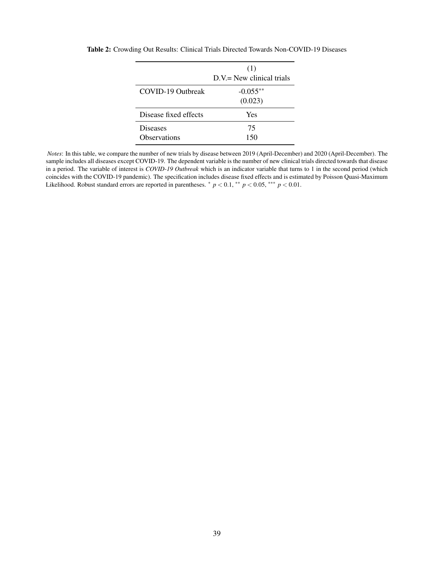|                                        | (1)<br>$D.V = New clinical trials$ |
|----------------------------------------|------------------------------------|
| COVID-19 Outbreak                      | $-0.055**$<br>(0.023)              |
| Disease fixed effects                  | Yes                                |
| <b>Diseases</b><br><b>Observations</b> | 75<br>150                          |

<span id="page-40-0"></span>Table 2: Crowding Out Results: Clinical Trials Directed Towards Non-COVID-19 Diseases

*Notes*: In this table, we compare the number of new trials by disease between 2019 (April-December) and 2020 (April-December). The sample includes all diseases except COVID-19. The dependent variable is the number of new clinical trials directed towards that disease in a period. The variable of interest is *COVID-19 Outbreak* which is an indicator variable that turns to 1 in the second period (which coincides with the COVID-19 pandemic). The specification includes disease fixed effects and is estimated by Poisson Quasi-Maximum Likelihood. Robust standard errors are reported in parentheses.  $p < 0.1$ , \*\*  $p < 0.05$ , \*\*\*  $p < 0.01$ .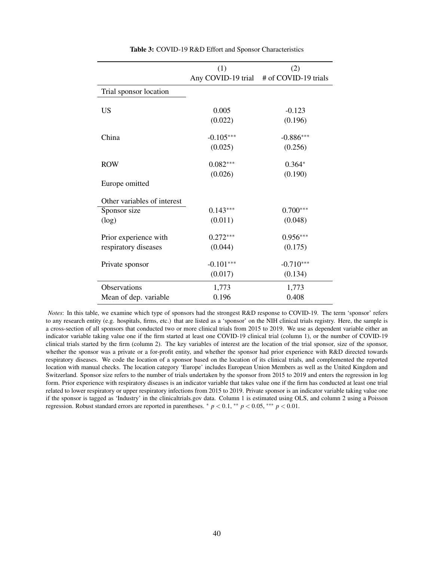<span id="page-41-0"></span>

|                             | (1)         | (2)                                     |
|-----------------------------|-------------|-----------------------------------------|
|                             |             | Any COVID-19 trial # of COVID-19 trials |
| Trial sponsor location      |             |                                         |
|                             |             |                                         |
| <b>US</b>                   | 0.005       | $-0.123$                                |
|                             | (0.022)     | (0.196)                                 |
| China                       | $-0.105***$ | $-0.886***$                             |
|                             | (0.025)     | (0.256)                                 |
| <b>ROW</b>                  | $0.082***$  | $0.364*$                                |
|                             | (0.026)     | (0.190)                                 |
| Europe omitted              |             |                                         |
| Other variables of interest |             |                                         |
| Sponsor size                | $0.143***$  | $0.700***$                              |
| (log)                       | (0.011)     | (0.048)                                 |
| Prior experience with       | $0.272***$  | $0.956***$                              |
| respiratory diseases        | (0.044)     | (0.175)                                 |
| Private sponsor             | $-0.101***$ | $-0.710***$                             |
|                             | (0.017)     | (0.134)                                 |
| <b>Observations</b>         | 1,773       | 1,773                                   |
| Mean of dep. variable       | 0.196       | 0.408                                   |

Table 3: COVID-19 R&D Effort and Sponsor Characteristics

*Notes*: In this table, we examine which type of sponsors had the strongest R&D response to COVID-19. The term 'sponsor' refers to any research entity (e.g. hospitals, firms, etc.) that are listed as a 'sponsor' on the NIH clinical trials registry. Here, the sample is a cross-section of all sponsors that conducted two or more clinical trials from 2015 to 2019. We use as dependent variable either an indicator variable taking value one if the firm started at least one COVID-19 clinical trial (column 1), or the number of COVID-19 clinical trials started by the firm (column 2). The key variables of interest are the location of the trial sponsor, size of the sponsor, whether the sponsor was a private or a for-profit entity, and whether the sponsor had prior experience with R&D directed towards respiratory diseases. We code the location of a sponsor based on the location of its clinical trials, and complemented the reported location with manual checks. The location category 'Europe' includes European Union Members as well as the United Kingdom and Switzerland. Sponsor size refers to the number of trials undertaken by the sponsor from 2015 to 2019 and enters the regression in log form. Prior experience with respiratory diseases is an indicator variable that takes value one if the firm has conducted at least one trial related to lower respiratory or upper respiratory infections from 2015 to 2019. Private sponsor is an indicator variable taking value one if the sponsor is tagged as 'Industry' in the clinicaltrials.gov data. Column 1 is estimated using OLS, and column 2 using a Poisson regression. Robust standard errors are reported in parentheses. <sup>∗</sup> *p* < 0.1, ∗∗ *p* < 0.05, ∗∗∗ *p* < 0.01.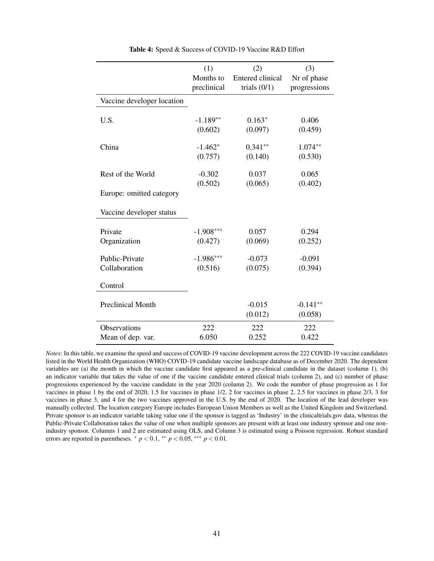<span id="page-42-0"></span>

|                            | (1)         | (2)                     | (3)          |
|----------------------------|-------------|-------------------------|--------------|
|                            | Months to   | <b>Entered clinical</b> | Nr of phase  |
|                            | preclinical | trials $(0/1)$          | progressions |
| Vaccine developer location |             |                         |              |
| U.S.                       | $-1.189**$  | $0.163*$                | 0.406        |
|                            | (0.602)     | (0.097)                 | (0.459)      |
| China                      | $-1.462*$   | $0.341**$               | $1.074**$    |
|                            | (0.757)     | (0.140)                 | (0.530)      |
| Rest of the World          | $-0.302$    | 0.037                   | 0.065        |
|                            | (0.502)     | (0.065)                 | (0.402)      |
| Europe: omitted category   |             |                         |              |
| Vaccine developer status   |             |                         |              |
| Private                    | $-1.908***$ | 0.057                   | 0.294        |
| Organization               | (0.427)     | (0.069)                 | (0.252)      |
| Public-Private             | $-1.986***$ | $-0.073$                | $-0.091$     |
| Collaboration              | (0.516)     | (0.075)                 | (0.394)      |
| Control                    |             |                         |              |
| <b>Preclinical Month</b>   |             | $-0.015$                | $-0.141**$   |
|                            |             | (0.012)                 | (0.058)      |
| <b>Observations</b>        | 222         | 222                     | 222          |
| Mean of dep. var.          | 6.050       | 0.252                   | 0.422        |

Table 4: Speed & Success of COVID-19 Vaccine R&D Effort

*Notes*: In this table, we examine the speed and success of COVID-19 vaccine development across the 222 COVID-19 vaccine candidates listed in the World Health Organization (WHO) COVID-19 candidate vaccine landscape database as of December 2020. The dependent variables are (a) the month in which the vaccine candidate first appeared as a pre-clinical candidate in the dataset (column 1), (b) an indicator variable that takes the value of one if the vaccine candidate entered clinical trials (column 2), and (c) number of phase progressions experienced by the vaccine candidate in the year 2020 (column 2). We code the number of phase progression as 1 for vaccines in phase 1 by the end of 2020, 1.5 for vaccines in phase 1/2, 2 for vaccines in phase 2, 2.5 for vaccines in phase 2/3, 3 for vaccines in phase 3, and 4 for the two vaccines approved in the U.S. by the end of 2020. The location of the lead developer was manually collected. The location category Europe includes European Union Members as well as the United Kingdom and Switzerland. Private sponsor is an indicator variable taking value one if the sponsor is tagged as 'Industry' in the clinicaltrials.gov data, whereas the Public-Private Collaboration takes the value of one when multiple sponsors are present with at least one industry sponsor and one nonindustry sponsor. Columns 1 and 2 are estimated using OLS, and Column 3 is estimated using a Poisson regression. Robust standard errors are reported in parentheses.  $* p < 0.1$ ,  $* p < 0.05$ ,  $* * p < 0.01$ .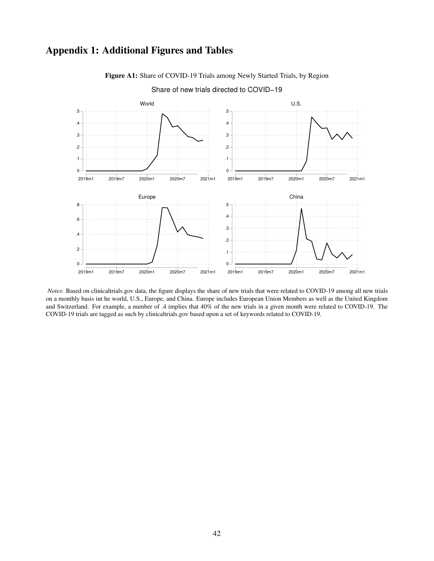## <span id="page-43-0"></span>Appendix 1: Additional Figures and Tables



Figure A1: Share of COVID-19 Trials among Newly Started Trials, by Region



*Notes*: Based on clinicaltrials.gov data, the figure displays the share of new trials that were related to COVID-19 among all new trials on a monthly basis int he world, U.S., Europe, and China. Europe includes European Union Members as well as the United Kingdom and Switzerland. For example, a number of .4 implies that 40% of the new trials in a given month were related to COVID-19. The COVID-19 trials are tagged as such by clinicaltrials.gov based upon a set of keywords related to COVID-19.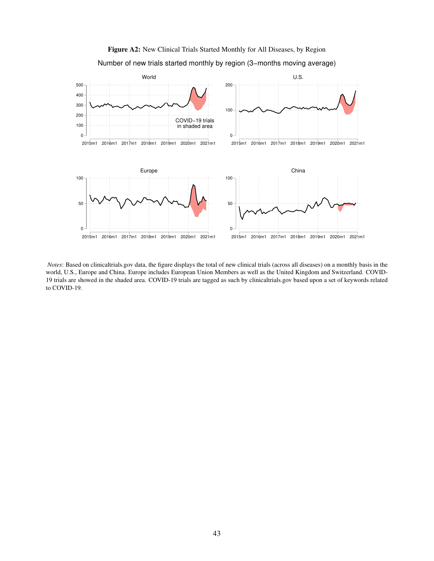<span id="page-44-0"></span>

Figure A2: New Clinical Trials Started Monthly for All Diseases, by Region Number of new trials started monthly by region (3−months moving average)

*Notes*: Based on clinicaltrials.gov data, the figure displays the total of new clinical trials (across all diseases) on a monthly basis in the world, U.S., Europe and China. Europe includes European Union Members as well as the United Kingdom and Switzerland. COVID-19 trials are showed in the shaded area. COVID-19 trials are tagged as such by clinicaltrials.gov based upon a set of keywords related to COVID-19.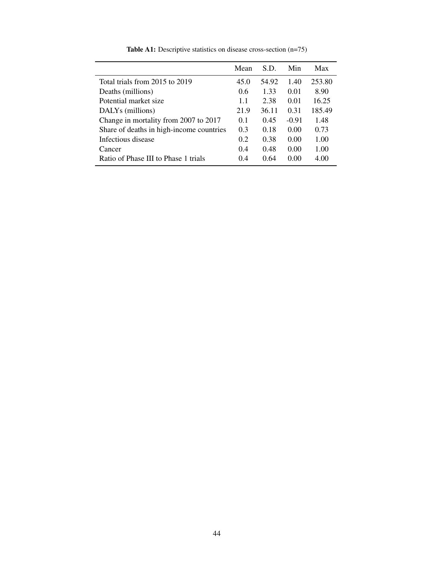<span id="page-45-0"></span>

|                                          | Mean | S.D.  | Min     | Max    |
|------------------------------------------|------|-------|---------|--------|
| Total trials from 2015 to 2019           | 45.0 | 54.92 | 1.40    | 253.80 |
| Deaths (millions)                        | 0.6  | 1.33  | 0.01    | 8.90   |
| Potential market size                    | 1.1  | 2.38  | 0.01    | 16.25  |
| DALYs (millions)                         | 21.9 | 36.11 | 0.31    | 185.49 |
| Change in mortality from 2007 to 2017    | 0.1  | 0.45  | $-0.91$ | 1.48   |
| Share of deaths in high-income countries | 0.3  | 0.18  | 0.00    | 0.73   |
| Infectious disease                       | 0.2  | 0.38  | 0.00    | 1.00   |
| Cancer                                   | 0.4  | 0.48  | 0.00    | 1.00   |
| Ratio of Phase III to Phase 1 trials     | 0.4  | 0.64  | 0.00    | 4.00   |

Table A1: Descriptive statistics on disease cross-section (n=75)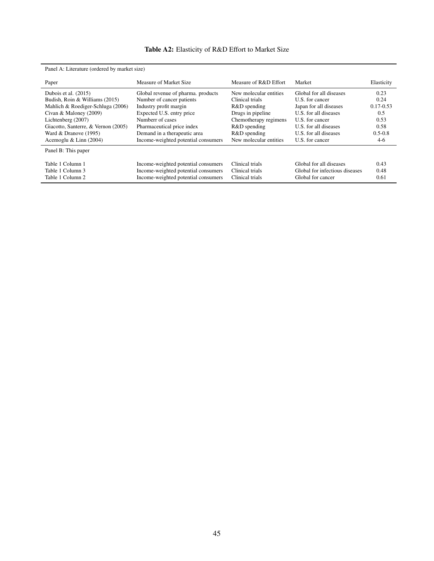## Table A2: Elasticity of R&D Effort to Market Size

<span id="page-46-0"></span>

| Panel A: Literature (ordered by market size)                                                                                                                                                                                            |                                                                                                                                                                                                                                                |                                                                                                                                                                   |                                                                                                                                                                                       |                                                                              |
|-----------------------------------------------------------------------------------------------------------------------------------------------------------------------------------------------------------------------------------------|------------------------------------------------------------------------------------------------------------------------------------------------------------------------------------------------------------------------------------------------|-------------------------------------------------------------------------------------------------------------------------------------------------------------------|---------------------------------------------------------------------------------------------------------------------------------------------------------------------------------------|------------------------------------------------------------------------------|
| Paper                                                                                                                                                                                                                                   | Measure of Market Size                                                                                                                                                                                                                         | Measure of R&D Effort                                                                                                                                             | Market                                                                                                                                                                                | Elasticity                                                                   |
| Dubois et al. (2015)<br>Budish, Roin & Williams (2015)<br>Mahlich & Roediger-Schluga (2006)<br>Civan & Maloney $(2009)$<br>Lichtenberg (2007)<br>Giacotto, Santerre, & Vernon (2005)<br>Ward & Dranove (1995)<br>Acemoglu & Linn (2004) | Global revenue of pharma, products<br>Number of cancer patients<br>Industry profit margin<br>Expected U.S. entry price<br>Number of cases<br>Pharmaceutical price index<br>Demand in a therapeutic area<br>Income-weighted potential consumers | New molecular entities<br>Clinical trials<br>R&D spending<br>Drugs in pipeline<br>Chemotherapy regimens<br>R&D spending<br>R&D spending<br>New molecular entities | Global for all diseases<br>U.S. for cancer<br>Japan for all diseases<br>U.S. for all diseases<br>U.S. for cancer<br>U.S. for all diseases<br>U.S. for all diseases<br>U.S. for cancer | 0.23<br>0.24<br>$0.17 - 0.53$<br>0.5<br>0.53<br>0.58<br>$0.5 - 0.8$<br>$4-6$ |
| Panel B: This paper                                                                                                                                                                                                                     |                                                                                                                                                                                                                                                |                                                                                                                                                                   |                                                                                                                                                                                       |                                                                              |
| Table 1 Column 1<br>Table 1 Column 3<br>Table 1 Column 2                                                                                                                                                                                | Income-weighted potential consumers<br>Income-weighted potential consumers<br>Income-weighted potential consumers                                                                                                                              | Clinical trials<br>Clinical trials<br>Clinical trials                                                                                                             | Global for all diseases<br>Global for infectious diseases<br>Global for cancer                                                                                                        | 0.43<br>0.48<br>0.61                                                         |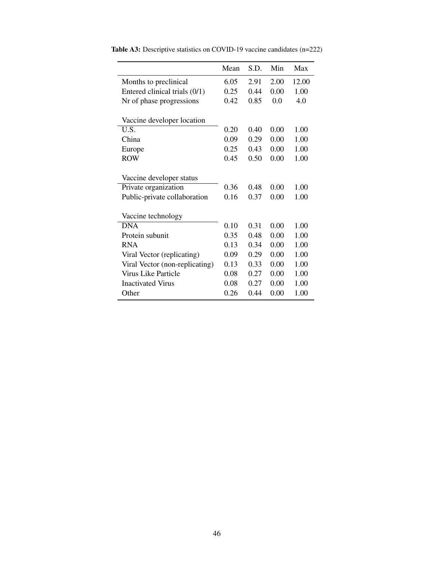|                                | Mean | S.D. | Min  | Max   |
|--------------------------------|------|------|------|-------|
| Months to preclinical          | 6.05 | 2.91 | 2.00 | 12.00 |
| Entered clinical trials (0/1)  | 0.25 | 0.44 | 0.00 | 1.00  |
| Nr of phase progressions       | 0.42 | 0.85 | 0.0  | 4.0   |
| Vaccine developer location     |      |      |      |       |
| U.S.                           | 0.20 | 0.40 | 0.00 | 1.00  |
| China                          | 0.09 | 0.29 | 0.00 | 1.00  |
| Europe                         | 0.25 | 0.43 | 0.00 | 1.00  |
| <b>ROW</b>                     | 0.45 | 0.50 | 0.00 | 1.00  |
| Vaccine developer status       |      |      |      |       |
| Private organization           | 0.36 | 0.48 | 0.00 | 1.00  |
| Public-private collaboration   | 0.16 | 0.37 | 0.00 | 1.00  |
| Vaccine technology             |      |      |      |       |
| <b>DNA</b>                     | 0.10 | 0.31 | 0.00 | 1.00  |
| Protein subunit                | 0.35 | 0.48 | 0.00 | 1.00  |
| <b>RNA</b>                     | 0.13 | 0.34 | 0.00 | 1.00  |
| Viral Vector (replicating)     | 0.09 | 0.29 | 0.00 | 1.00  |
| Viral Vector (non-replicating) | 0.13 | 0.33 | 0.00 | 1.00  |
| Virus Like Particle            | 0.08 | 0.27 | 0.00 | 1.00  |
| <b>Inactivated Virus</b>       | 0.08 | 0.27 | 0.00 | 1.00  |
| Other                          | 0.26 | 0.44 | 0.00 | 1.00  |

<span id="page-47-0"></span>Table A3: Descriptive statistics on COVID-19 vaccine candidates (n=222)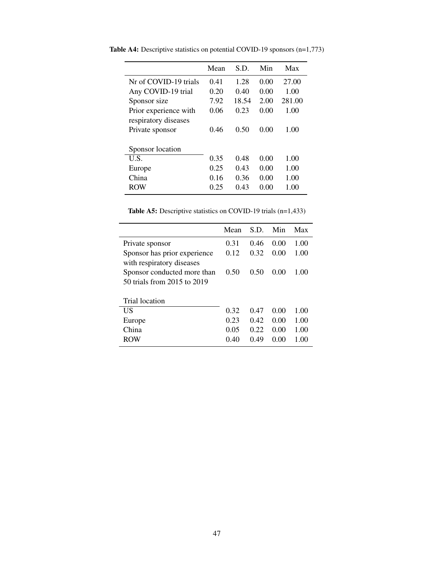|                       | Mean | S.D.  | Min  | Max    |
|-----------------------|------|-------|------|--------|
| Nr of COVID-19 trials | 0.41 | 1.28  | 0.00 | 27.00  |
| Any COVID-19 trial    | 0.20 | 0.40  | 0.00 | 1.00   |
| Sponsor size          | 7.92 | 18.54 | 2.00 | 281.00 |
| Prior experience with | 0.06 | 0.23  | 0.00 | 1.00   |
| respiratory diseases  |      |       |      |        |
| Private sponsor       | 0.46 | 0.50  | 0.00 | 1.00   |
|                       |      |       |      |        |
| Sponsor location      |      |       |      |        |
| U.S.                  | 0.35 | 0.48  | 0.00 | 1.00   |
| Europe                | 0.25 | 0.43  | 0.00 | 1.00   |
| China                 | 0.16 | 0.36  | 0.00 | 1.00   |
| ROW                   | 0.25 | 0.43  | 0.00 | 1.00   |
|                       |      |       |      |        |

<span id="page-48-0"></span>Table A4: Descriptive statistics on potential COVID-19 sponsors (n=1,773)

Table A5: Descriptive statistics on COVID-19 trials (n=1,433)

<span id="page-48-1"></span>

|                                                            | Mean | S.D. | Min  | Max  |
|------------------------------------------------------------|------|------|------|------|
| Private sponsor                                            | 0.31 | 0.46 | 0.00 | 1.00 |
| Sponsor has prior experience<br>with respiratory diseases  | 0.12 | 0.32 | 0.00 | 1.00 |
| Sponsor conducted more than<br>50 trials from 2015 to 2019 | 0.50 | 0.50 | 0.00 | 1.00 |
| Trial location                                             |      |      |      |      |
| US                                                         | 0.32 | 0.47 | 0.00 | 1.00 |
| Europe                                                     | 0.23 | 0.42 | 0.00 | 1.00 |
| China                                                      | 0.05 | 0.22 | 0.00 | 1.00 |
| <b>ROW</b>                                                 | 0.40 | 0.49 | 0.00 | 1.00 |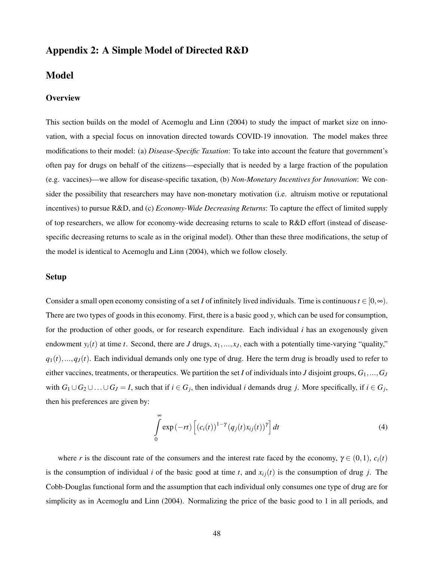## Appendix 2: A Simple Model of Directed R&D

## Model

#### **Overview**

This section builds on the model of Acemoglu and Linn (2004) to study the impact of market size on innovation, with a special focus on innovation directed towards COVID-19 innovation. The model makes three modifications to their model: (a) *Disease-Specific Taxation*: To take into account the feature that government's often pay for drugs on behalf of the citizens—especially that is needed by a large fraction of the population (e.g. vaccines)—we allow for disease-specific taxation, (b) *Non-Monetary Incentives for Innovation*: We consider the possibility that researchers may have non-monetary motivation (i.e. altruism motive or reputational incentives) to pursue R&D, and (c) *Economy-Wide Decreasing Returns*: To capture the effect of limited supply of top researchers, we allow for economy-wide decreasing returns to scale to R&D effort (instead of diseasespecific decreasing returns to scale as in the original model). Other than these three modifications, the setup of the model is identical to Acemoglu and Linn (2004), which we follow closely.

#### Setup

Consider a small open economy consisting of a set *I* of infinitely lived individuals. Time is continuous  $t \in [0, \infty)$ . There are two types of goods in this economy. First, there is a basic good *y*, which can be used for consumption, for the production of other goods, or for research expenditure. Each individual *i* has an exogenously given endowment  $y_i(t)$  at time *t*. Second, there are *J* drugs,  $x_1, \ldots, x_J$ , each with a potentially time-varying "quality,"  $q_1(t),...,q_J(t)$ . Each individual demands only one type of drug. Here the term drug is broadly used to refer to either vaccines, treatments, or therapeutics. We partition the set *I* of individuals into *J* disjoint groups, *G*1,...,*G<sup>J</sup>* with  $G_1 \cup G_2 \cup \ldots \cup G_J = I$ , such that if  $i \in G_j$ , then individual *i* demands drug *j*. More specifically, if  $i \in G_j$ , then his preferences are given by:

$$
\int_{0}^{\infty} \exp(-rt) \left[ (c_i(t))^{1-\gamma} (q_j(t)x_{ij}(t))^{\gamma} \right] dt \tag{4}
$$

where *r* is the discount rate of the consumers and the interest rate faced by the economy,  $\gamma \in (0,1)$ ,  $c_i(t)$ is the consumption of individual *i* of the basic good at time *t*, and  $x_i(t)$  is the consumption of drug *j*. The Cobb-Douglas functional form and the assumption that each individual only consumes one type of drug are for simplicity as in Acemoglu and Linn (2004). Normalizing the price of the basic good to 1 in all periods, and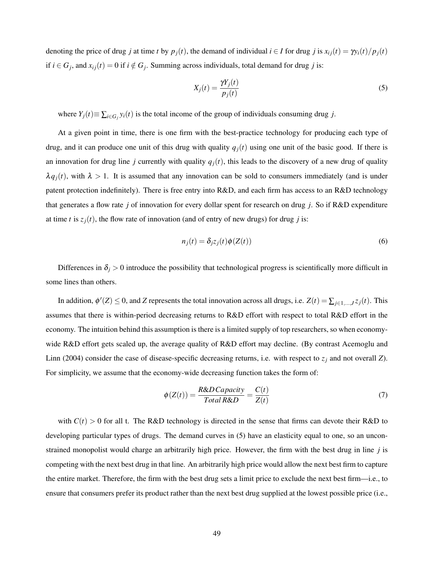denoting the price of drug j at time t by  $p_i(t)$ , the demand of individual  $i \in I$  for drug j is  $x_{ij}(t) = \gamma y_i(t)/p_i(t)$ if  $i \in G_j$ , and  $x_{ij}(t) = 0$  if  $i \notin G_j$ . Summing across individuals, total demand for drug *j* is:

$$
X_j(t) = \frac{\gamma Y_j(t)}{p_j(t)}
$$
\n<sup>(5)</sup>

where  $Y_j(t) \equiv \sum_{i \in G_j} y_i(t)$  is the total income of the group of individuals consuming drug *j*.

At a given point in time, there is one firm with the best-practice technology for producing each type of drug, and it can produce one unit of this drug with quality  $q_j(t)$  using one unit of the basic good. If there is an innovation for drug line *j* currently with quality  $q_i(t)$ , this leads to the discovery of a new drug of quality  $\lambda q_i(t)$ , with  $\lambda > 1$ . It is assumed that any innovation can be sold to consumers immediately (and is under patent protection indefinitely). There is free entry into R&D, and each firm has access to an R&D technology that generates a flow rate *j* of innovation for every dollar spent for research on drug *j*. So if R&D expenditure at time *t* is  $z_i(t)$ , the flow rate of innovation (and of entry of new drugs) for drug *j* is:

$$
n_j(t) = \delta_j z_j(t) \phi(Z(t))
$$
\n(6)

Differences in  $\delta_j > 0$  introduce the possibility that technological progress is scientifically more difficult in some lines than others.

In addition,  $\phi'(Z) \le 0$ , and *Z* represents the total innovation across all drugs, i.e.  $Z(t) = \sum_{j \in 1,...,J} z_j(t)$ . This assumes that there is within-period decreasing returns to R&D effort with respect to total R&D effort in the economy. The intuition behind this assumption is there is a limited supply of top researchers, so when economywide R&D effort gets scaled up, the average quality of R&D effort may decline. (By contrast Acemoglu and Linn (2004) consider the case of disease-specific decreasing returns, i.e. with respect to  $z_j$  and not overall *Z*). For simplicity, we assume that the economy-wide decreasing function takes the form of:

$$
\phi(Z(t)) = \frac{R\&DCapacity}{Total R\&D} = \frac{C(t)}{Z(t)}\tag{7}
$$

with  $C(t) > 0$  for all t. The R&D technology is directed in the sense that firms can devote their R&D to developing particular types of drugs. The demand curves in (5) have an elasticity equal to one, so an unconstrained monopolist would charge an arbitrarily high price. However, the firm with the best drug in line *j* is competing with the next best drug in that line. An arbitrarily high price would allow the next best firm to capture the entire market. Therefore, the firm with the best drug sets a limit price to exclude the next best firm—i.e., to ensure that consumers prefer its product rather than the next best drug supplied at the lowest possible price (i.e.,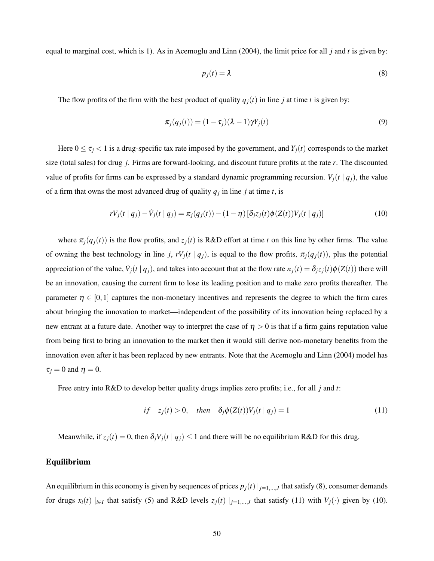equal to marginal cost, which is 1). As in Acemoglu and Linn (2004), the limit price for all *j* and *t* is given by:

$$
p_j(t) = \lambda \tag{8}
$$

The flow profits of the firm with the best product of quality  $q_i(t)$  in line *j* at time *t* is given by:

$$
\pi_j(q_j(t)) = (1 - \tau_j)(\lambda - 1)\gamma Y_j(t) \tag{9}
$$

Here  $0 \le \tau_j < 1$  is a drug-specific tax rate imposed by the government, and  $Y_j(t)$  corresponds to the market size (total sales) for drug *j*. Firms are forward-looking, and discount future profits at the rate *r*. The discounted value of profits for firms can be expressed by a standard dynamic programming recursion.  $V_i(t | q_i)$ , the value of a firm that owns the most advanced drug of quality  $q_j$  in line *j* at time *t*, is

$$
rV_j(t \mid q_j) - V_j(t \mid q_j) = \pi_j(q_j(t)) - (1 - \eta) [\delta_{j\bar{z}_j}(t)\phi(Z(t))V_j(t \mid q_j)]
$$
\n(10)

where  $\pi_j(q_j(t))$  is the flow profits, and  $z_j(t)$  is R&D effort at time *t* on this line by other firms. The value of owning the best technology in line *j*,  $rV_j(t | q_j)$ , is equal to the flow profits,  $\pi_j(q_j(t))$ , plus the potential appreciation of the value,  $\dot{V}_j(t | q_j)$ , and takes into account that at the flow rate  $n_j(t) = \delta_j z_j(t) \phi(Z(t))$  there will be an innovation, causing the current firm to lose its leading position and to make zero profits thereafter. The parameter  $\eta \in [0,1]$  captures the non-monetary incentives and represents the degree to which the firm cares about bringing the innovation to market—independent of the possibility of its innovation being replaced by a new entrant at a future date. Another way to interpret the case of  $\eta > 0$  is that if a firm gains reputation value from being first to bring an innovation to the market then it would still derive non-monetary benefits from the innovation even after it has been replaced by new entrants. Note that the Acemoglu and Linn (2004) model has  $\tau_i = 0$  and  $\eta = 0$ .

Free entry into R&D to develop better quality drugs implies zero profits; i.e., for all *j* and *t*:

$$
if \quad z_j(t) > 0, \quad then \quad \delta_j \phi(Z(t)) V_j(t \mid q_j) = 1 \tag{11}
$$

Meanwhile, if  $z_j(t) = 0$ , then  $\delta_j V_j(t | q_j) \le 1$  and there will be no equilibrium R&D for this drug.

#### Equilibrium

An equilibrium in this economy is given by sequences of prices  $p_j(t)|_{j=1,\dots,J}$  that satisfy (8), consumer demands for drugs  $x_i(t) \mid_{i \in I}$  that satisfy (5) and R&D levels  $z_j(t) \mid_{j=1,...,J}$  that satisfy (11) with  $V_j(\cdot)$  given by (10).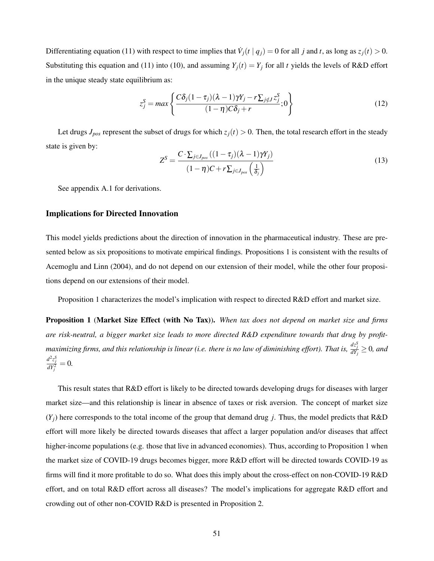Differentiating equation (11) with respect to time implies that  $\dot{V}_j(t | q_j) = 0$  for all *j* and *t*, as long as  $z_j(t) > 0$ . Substituting this equation and (11) into (10), and assuming  $Y_i(t) = Y_i$  for all *t* yields the levels of R&D effort in the unique steady state equilibrium as:

$$
z_j^S = \max \left\{ \frac{C \delta_j (1 - \tau_j)(\lambda - 1) \gamma Y_j - r \sum_{j \notin J} z_j^S}{(1 - \eta) C \delta_j + r}; 0 \right\}
$$
(12)

Let drugs  $J_{pos}$  represent the subset of drugs for which  $z_j(t) > 0$ . Then, the total research effort in the steady state is given by:

$$
Z^{S} = \frac{C \cdot \sum_{j \in J_{pos}} ((1 - \tau_{j})(\lambda - 1)\gamma Y_{j})}{(1 - \eta)C + r \sum_{j \in J_{pos}} (\frac{1}{\delta_{j}})}
$$
(13)

See appendix A.1 for derivations.

#### Implications for Directed Innovation

This model yields predictions about the direction of innovation in the pharmaceutical industry. These are presented below as six propositions to motivate empirical findings. Propositions 1 is consistent with the results of Acemoglu and Linn (2004), and do not depend on our extension of their model, while the other four propositions depend on our extensions of their model.

Proposition 1 characterizes the model's implication with respect to directed R&D effort and market size.

Proposition 1 (Market Size Effect (with No Tax)). *When tax does not depend on market size and firms are risk-neutral, a bigger market size leads to more directed R&D expenditure towards that drug by profit* $maximizing firms,$  and this relationship is linear (i.e. there is no law of diminishing effort). That is,  $\frac{dz_J^S}{dY_j}\geq 0$ , and  $\frac{d^2 z_j^S}{dY_j^2} = 0.$ 

This result states that R&D effort is likely to be directed towards developing drugs for diseases with larger market size—and this relationship is linear in absence of taxes or risk aversion. The concept of market size  $(Y_i)$  here corresponds to the total income of the group that demand drug *j*. Thus, the model predicts that R&D effort will more likely be directed towards diseases that affect a larger population and/or diseases that affect higher-income populations (e.g. those that live in advanced economies). Thus, according to Proposition 1 when the market size of COVID-19 drugs becomes bigger, more R&D effort will be directed towards COVID-19 as firms will find it more profitable to do so. What does this imply about the cross-effect on non-COVID-19 R&D effort, and on total R&D effort across all diseases? The model's implications for aggregate R&D effort and crowding out of other non-COVID R&D is presented in Proposition 2.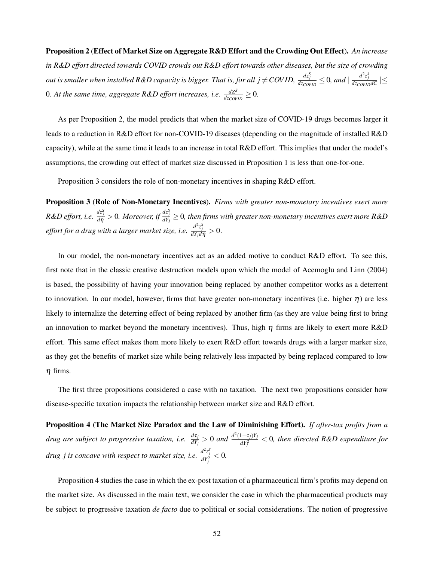#### Proposition 2 (Effect of Market Size on Aggregate R&D Effort and the Crowding Out Effect). *An increase*

*in R&D effort directed towards COVID crowds out R&D effort towards other diseases, but the size of crowding* out is smaller when installed R&D capacity is bigger. That is, for all  $j \neq COVID, \frac{dz^S_j}{dz_{CovID}} \leq 0$ , and  $|\frac{d^2z^S_j}{dz_{CovID}dC}| \leq$ 0*. At the same time, aggregate R&D effort increases, i.e.*  $\frac{dZ^{S}}{dz_{CovID}} \geq 0$ .

As per Proposition 2, the model predicts that when the market size of COVID-19 drugs becomes larger it leads to a reduction in R&D effort for non-COVID-19 diseases (depending on the magnitude of installed R&D capacity), while at the same time it leads to an increase in total R&D effort. This implies that under the model's assumptions, the crowding out effect of market size discussed in Proposition 1 is less than one-for-one.

Proposition 3 considers the role of non-monetary incentives in shaping R&D effort.

Proposition 3 (Role of Non-Monetary Incentives). *Firms with greater non-monetary incentives exert more*  $R\&D$  effort, i.e.  $\frac{dz_j^S}{d\eta}>0$ . Moreover, if  $\frac{dz_j^S}{dY_j}\geq 0$ , then firms with greater non-monetary incentives exert more R&D *effort for a drug with a larger market size, i.e.*  $\frac{d^2 z_j^S}{dY_j d\eta} > 0$ *.* 

In our model, the non-monetary incentives act as an added motive to conduct R&D effort. To see this, first note that in the classic creative destruction models upon which the model of Acemoglu and Linn (2004) is based, the possibility of having your innovation being replaced by another competitor works as a deterrent to innovation. In our model, however, firms that have greater non-monetary incentives (i.e. higher  $\eta$ ) are less likely to internalize the deterring effect of being replaced by another firm (as they are value being first to bring an innovation to market beyond the monetary incentives). Thus, high  $\eta$  firms are likely to exert more R&D effort. This same effect makes them more likely to exert R&D effort towards drugs with a larger marker size, as they get the benefits of market size while being relatively less impacted by being replaced compared to low  $\eta$  firms.

The first three propositions considered a case with no taxation. The next two propositions consider how disease-specific taxation impacts the relationship between market size and R&D effort.

Proposition 4 (The Market Size Paradox and the Law of Diminishing Effort). *If after-tax profits from a drug are subject to progressive taxation, i.e.*  $\frac{d\tau_j}{dY_j} > 0$  and  $\frac{d^2(1-\tau_j)Y_j}{dY_i^2}$  $\frac{dI - V_j |I_j|}{dY_j^2} < 0$ , then directed R&D expenditure for *drug j* is concave with respect to market size, i.e.  $\frac{d^2z_j^S}{dY_j^2} < 0$ .

Proposition 4 studies the case in which the ex-post taxation of a pharmaceutical firm's profits may depend on the market size. As discussed in the main text, we consider the case in which the pharmaceutical products may be subject to progressive taxation *de facto* due to political or social considerations. The notion of progressive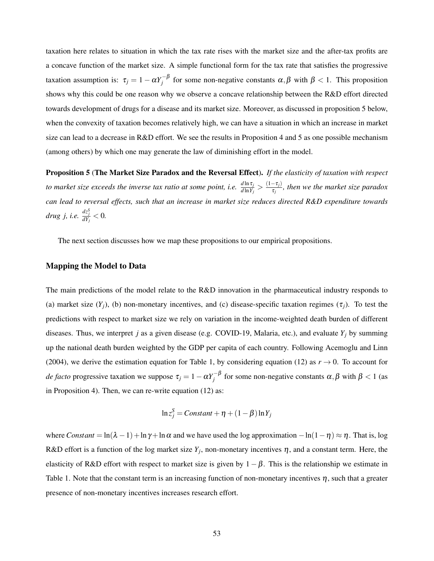taxation here relates to situation in which the tax rate rises with the market size and the after-tax profits are a concave function of the market size. A simple functional form for the tax rate that satisfies the progressive taxation assumption is:  $\tau_j = 1 - \alpha Y_j^{-\beta}$  for some non-negative constants  $\alpha, \beta$  with  $\beta < 1$ . This proposition shows why this could be one reason why we observe a concave relationship between the R&D effort directed towards development of drugs for a disease and its market size. Moreover, as discussed in proposition 5 below, when the convexity of taxation becomes relatively high, we can have a situation in which an increase in market size can lead to a decrease in R&D effort. We see the results in Proposition 4 and 5 as one possible mechanism (among others) by which one may generate the law of diminishing effort in the model.

Proposition 5 (The Market Size Paradox and the Reversal Effect). *If the elasticity of taxation with respect to market size exceeds the inverse tax ratio at some point, i.e.*  $\frac{d \ln \tau_j}{d \ln Y_j} > \frac{(1-\tau_j)}{\tau_j}$  $\frac{\sigma_{ij}}{\tau_j}$ , then we the market size paradox *can lead to reversal effects, such that an increase in market size reduces directed R&D expenditure towards drug j, i.e.*  $\frac{dz_j^S}{dY_j} < 0$ .

The next section discusses how we map these propositions to our empirical propositions.

#### Mapping the Model to Data

The main predictions of the model relate to the R&D innovation in the pharmaceutical industry responds to (a) market size  $(Y_i)$ , (b) non-monetary incentives, and (c) disease-specific taxation regimes  $(\tau_i)$ . To test the predictions with respect to market size we rely on variation in the income-weighted death burden of different diseases. Thus, we interpret *j* as a given disease (e.g. COVID-19, Malaria, etc.), and evaluate *Y<sup>j</sup>* by summing up the national death burden weighted by the GDP per capita of each country. Following Acemoglu and Linn (2004), we derive the estimation equation for Table 1, by considering equation (12) as  $r \to 0$ . To account for *de facto* progressive taxation we suppose  $\tau_j = 1 - \alpha Y_j^{-\beta}$  for some non-negative constants  $\alpha, \beta$  with  $\beta < 1$  (as in Proposition 4). Then, we can re-write equation (12) as:

$$
\ln z_j^S = Constant + \eta + (1 - \beta) \ln Y_j
$$

where *Constant* = ln( $\lambda$  -1) + ln  $\gamma$  + ln  $\alpha$  and we have used the log approximation  $-\ln(1-\eta) \approx \eta$ . That is, log R&D effort is a function of the log market size  $Y_j$ , non-monetary incentives  $\eta$ , and a constant term. Here, the elasticity of R&D effort with respect to market size is given by  $1-\beta$ . This is the relationship we estimate in Table 1. Note that the constant term is an increasing function of non-monetary incentives  $\eta$ , such that a greater presence of non-monetary incentives increases research effort.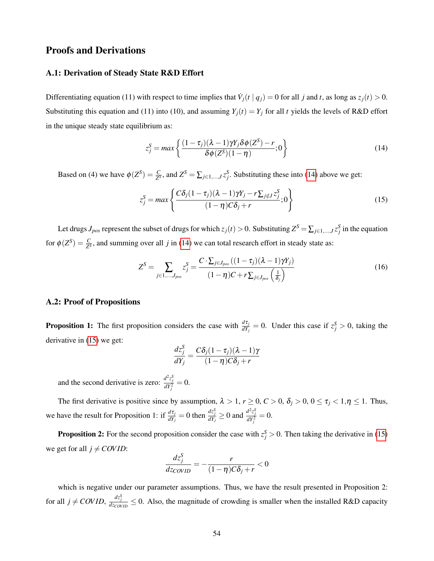## Proofs and Derivations

#### A.1: Derivation of Steady State R&D Effort

Differentiating equation (11) with respect to time implies that  $\dot{V}_j(t | q_j) = 0$  for all *j* and *t*, as long as  $z_j(t) > 0$ . Substituting this equation and (11) into (10), and assuming  $Y_j(t) = Y_j$  for all *t* yields the levels of R&D effort in the unique steady state equilibrium as:

<span id="page-55-0"></span>
$$
z_j^S = \max\left\{\frac{(1-\tau_j)(\lambda-1)\gamma Y_j \delta\phi(Z^S) - r}{\delta\phi(Z^S)(1-\eta)}; 0\right\}
$$
(14)

Based on (4) we have  $\phi(Z^S) = \frac{C}{Z^S}$ , and  $Z^S = \sum_{j \in 1,\dots,J} z_j^S$ . Substituting these into [\(14\)](#page-55-0) above we get:

<span id="page-55-1"></span>
$$
z_j^S = \max \left\{ \frac{C \delta_j (1 - \tau_j)(\lambda - 1) \gamma Y_j - r \sum_{j \notin J} z_j^S}{(1 - \eta) C \delta_j + r}; 0 \right\}
$$
(15)

Let drugs  $J_{pos}$  represent the subset of drugs for which  $z_j(t) > 0$ . Substituting  $Z^S = \sum_{j \in 1,...,J} z_j^S$  in the equation for  $\phi(Z^S) = \frac{C}{Z^S}$ , and summing over all *j* in [\(14\)](#page-55-0) we can total research effort in steady state as:

<span id="page-55-2"></span>
$$
Z^{S} = \sum_{j \in 1, \dots, J_{pos}} z_{j}^{S} = \frac{C \cdot \sum_{j \in J_{pos}} ((1 - \tau_{j})(\lambda - 1)\gamma Y_{j})}{(1 - \eta)C + r\sum_{j \in J_{pos}} (\frac{1}{\delta_{j}})}\tag{16}
$$

#### A.2: Proof of Propositions

**Proposition 1:** The first proposition considers the case with  $\frac{d\tau_j}{dY_j} = 0$ . Under this case if  $z_j^S > 0$ , taking the derivative in [\(15\)](#page-55-1) we get:

$$
\frac{dz_j^S}{dY_j} = \frac{C\delta_j(1-\tau_j)(\lambda-1)\gamma}{(1-\eta)C\delta_j+r}
$$

and the second derivative is zero:  $\frac{d^2z_j^S}{dY_j^2} = 0$ .

The first derivative is positive since by assumption,  $\lambda > 1$ ,  $r \ge 0$ ,  $C > 0$ ,  $\delta_j > 0$ ,  $0 \le \tau_j < 1$ ,  $\eta \le 1$ . Thus, we have the result for Proposition 1: if  $\frac{d\tau_j}{dY_j} = 0$  then  $\frac{dz_j^S}{dY_j} \ge 0$  and  $\frac{d^2z_j^S}{dY_j^2} = 0$ .

**Proposition 2:** For the second proposition consider the case with  $z_j^S > 0$ . Then taking the derivative in [\(15\)](#page-55-1) we get for all  $j \neq COVID$ :

$$
\frac{dz_j^S}{dz_{\text{COVID}}} = -\frac{r}{(1-\eta)C\delta_j + r} < 0
$$

which is negative under our parameter assumptions. Thus, we have the result presented in Proposition 2: for all  $j \neq COVID$ ,  $\frac{dz_j^S}{dz_{C(VID)}} \leq 0$ . Also, the magnitude of crowding is smaller when the installed R&D capacity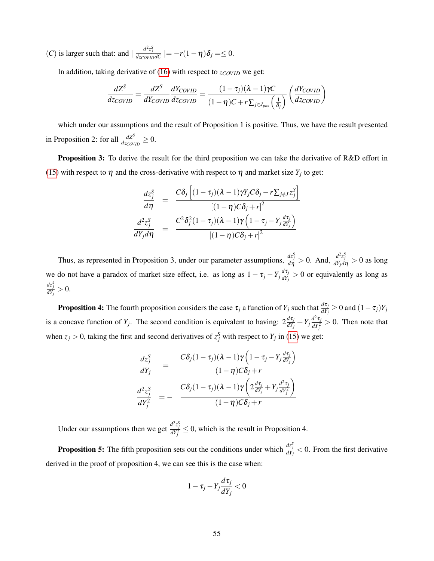(*C*) is larger such that: and  $\frac{d^2 z_j^S}{dz_{\text{Cov}} \cdot \mu \nu dC}$  |=  $-r(1-\eta)\delta_j = \leq 0$ .

In addition, taking derivative of [\(16\)](#page-55-2) with respect to *z*<sub>*COVID*</sub> we get:

$$
\frac{dZ^{S}}{dz_{COVID}} = \frac{dZ^{S}}{dY_{COVID}} \frac{dY_{COVID}}{dz_{COVID}} = \frac{(1 - \tau_j)(\lambda - 1)\gamma C}{(1 - \eta)C + r\sum_{j \in J_{pos}} \left(\frac{1}{\delta_j}\right)} \left(\frac{dY_{COVID}}{dz_{COVID}}\right)
$$

which under our assumptions and the result of Proposition 1 is positive. Thus, we have the result presented in Proposition 2: for all  $\frac{dZ^S}{dz_{\text{C}\text{OVID}}} \geq 0$ .

Proposition 3: To derive the result for the third proposition we can take the derivative of R&D effort in [\(15\)](#page-55-1) with respect to  $\eta$  and the cross-derivative with respect to  $\eta$  and market size  $Y_j$  to get:

$$
\frac{dz_j^S}{d\eta} = \frac{C\delta_j \left[ (1-\tau_j)(\lambda-1)\gamma Y_j C\delta_j - r\sum_{j \notin J} z_j^S \right]}{[(1-\eta)C\delta_j + r]^2}
$$
\n
$$
\frac{d^2z_j^S}{dY_j d\eta} = \frac{C^2\delta_j^2 (1-\tau_j)(\lambda-1)\gamma \left(1-\tau_j - Y_j \frac{d\tau_j}{dY_j}\right)}{[(1-\eta)C\delta_j + r]^2}
$$

Thus, as represented in Proposition 3, under our parameter assumptions,  $\frac{dz_j^S}{d\eta} > 0$ . And,  $\frac{d^2z_j^S}{dY_j d\eta} > 0$  as long we do not have a paradox of market size effect, i.e. as long as  $1 - \tau_j - Y_j \frac{d\tau_j}{dY_j}$  $\frac{d^2V_j}{dY_j} > 0$  or equivalently as long as  $\frac{dz_j^S}{dY_j}>0.$ 

**Proposition 4:** The fourth proposition considers the case  $\tau_j$  a function of  $Y_j$  such that  $\frac{d\tau_j}{dY_j} \ge 0$  and  $(1-\tau_j)Y_j$ is a concave function of  $Y_j$ . The second condition is equivalent to having:  $2\frac{d\tau_j}{dY_j} + Y_j\frac{d^2\tau_j}{dY_j^2}$  $\frac{d^2U_j}{dY_j^2} > 0$ . Then note that when  $z_j > 0$ , taking the first and second derivatives of  $z_j^S$  with respect to  $Y_j$  in [\(15\)](#page-55-1) we get:

$$
\frac{dz_j^S}{dY_j} = \frac{C\delta_j(1-\tau_j)(\lambda-1)\gamma\left(1-\tau_j-Y_j\frac{d\tau_j}{dY_j}\right)}{(1-\eta)C\delta_j+r}
$$
\n
$$
\frac{d^2z_j^S}{dY_j^2} = -\frac{C\delta_j(1-\tau_j)(\lambda-1)\gamma\left(2\frac{d\tau_j}{dY_j}+Y_j\frac{d^2\tau_j}{dY_j^2}\right)}{(1-\eta)C\delta_j+r}
$$

Under our assumptions then we get  $\frac{d^2z_j^S}{dY_j^2} \le 0$ , which is the result in Proposition 4.

**Proposition 5:** The fifth proposition sets out the conditions under which  $\frac{dz_j^s}{dY_j} < 0$ . From the first derivative derived in the proof of proposition 4, we can see this is the case when:

$$
1-\tau_j-Y_j\frac{d\tau_j}{dY_j}<0
$$